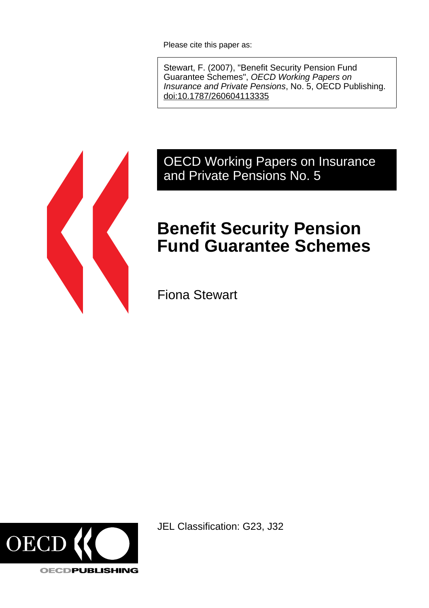Please cite this paper as:

Stewart, F. (2007), "Benefit Security Pension Fund Guarantee Schemes", OECD Working Papers on Insurance and Private Pensions, No. 5, OECD Publishing. [doi:10.1787/260604113335](http://dx.doi.org/10.1787/260604113335)



OECD Working Papers on Insurance and Private Pensions No. 5

# **Benefit Security Pension Fund Guarantee Schemes**

Fiona Stewart



JEL Classification: G23, J32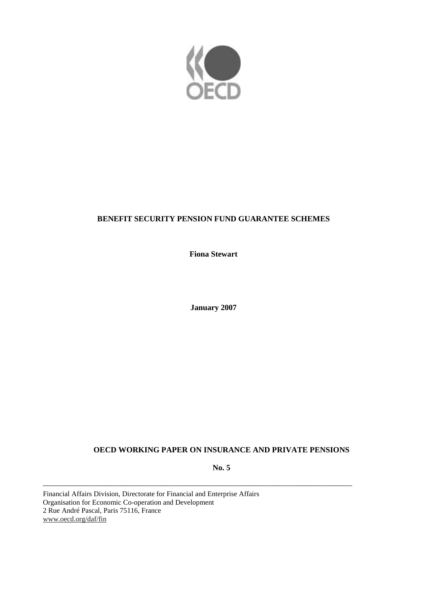

# **BENEFIT SECURITY PENSION FUND GUARANTEE SCHEMES**

**Fiona Stewart** 

**January 2007** 

# **OECD WORKING PAPER ON INSURANCE AND PRIVATE PENSIONS**

**No. 5** 

——————————————————————————————————————— Financial Affairs Division, Directorate for Financial and Enterprise Affairs Organisation for Economic Co-operation and Development 2 Rue André Pascal, Paris 75116, France www.oecd.org/daf/fin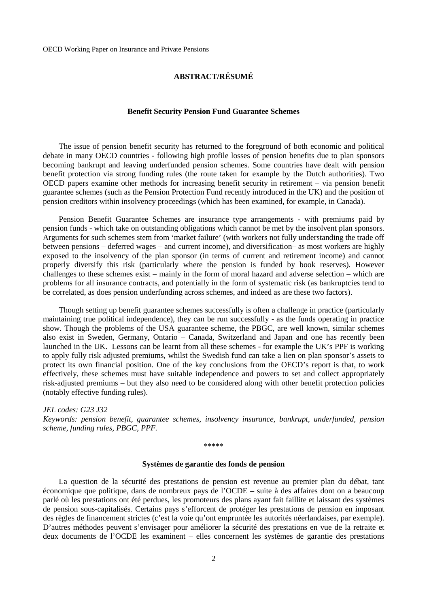## **ABSTRACT/RÉSUMÉ**

#### **Benefit Security Pension Fund Guarantee Schemes**

The issue of pension benefit security has returned to the foreground of both economic and political debate in many OECD countries - following high profile losses of pension benefits due to plan sponsors becoming bankrupt and leaving underfunded pension schemes. Some countries have dealt with pension benefit protection via strong funding rules (the route taken for example by the Dutch authorities). Two OECD papers examine other methods for increasing benefit security in retirement – via pension benefit guarantee schemes (such as the Pension Protection Fund recently introduced in the UK) and the position of pension creditors within insolvency proceedings (which has been examined, for example, in Canada).

Pension Benefit Guarantee Schemes are insurance type arrangements - with premiums paid by pension funds - which take on outstanding obligations which cannot be met by the insolvent plan sponsors. Arguments for such schemes stem from 'market failure' (with workers not fully understanding the trade off between pensions – deferred wages – and current income), and diversification– as most workers are highly exposed to the insolvency of the plan sponsor (in terms of current and retirement income) and cannot properly diversify this risk (particularly where the pension is funded by book reserves). However challenges to these schemes exist – mainly in the form of moral hazard and adverse selection – which are problems for all insurance contracts, and potentially in the form of systematic risk (as bankruptcies tend to be correlated, as does pension underfunding across schemes, and indeed as are these two factors).

Though setting up benefit guarantee schemes successfully is often a challenge in practice (particularly maintaining true political independence), they can be run successfully - as the funds operating in practice show. Though the problems of the USA guarantee scheme, the PBGC, are well known, similar schemes also exist in Sweden, Germany, Ontario – Canada, Switzerland and Japan and one has recently been launched in the UK. Lessons can be learnt from all these schemes - for example the UK's PPF is working to apply fully risk adjusted premiums, whilst the Swedish fund can take a lien on plan sponsor's assets to protect its own financial position. One of the key conclusions from the OECD's report is that, to work effectively, these schemes must have suitable independence and powers to set and collect appropriately risk-adjusted premiums – but they also need to be considered along with other benefit protection policies (notably effective funding rules).

*JEL codes: G23 J32 Keywords: pension benefit, guarantee schemes, insolvency insurance, bankrupt, underfunded, pension scheme, funding rules, PBGC, PPF.*

\*\*\*\*\*

#### **Systèmes de garantie des fonds de pension**

La question de la sécurité des prestations de pension est revenue au premier plan du débat, tant économique que politique, dans de nombreux pays de l'OCDE – suite à des affaires dont on a beaucoup parlé où les prestations ont été perdues, les promoteurs des plans ayant fait faillite et laissant des systèmes de pension sous-capitalisés. Certains pays s'efforcent de protéger les prestations de pension en imposant des règles de financement strictes (c'est la voie qu'ont empruntée les autorités néerlandaises, par exemple). D'autres méthodes peuvent s'envisager pour améliorer la sécurité des prestations en vue de la retraite et deux documents de l'OCDE les examinent – elles concernent les systèmes de garantie des prestations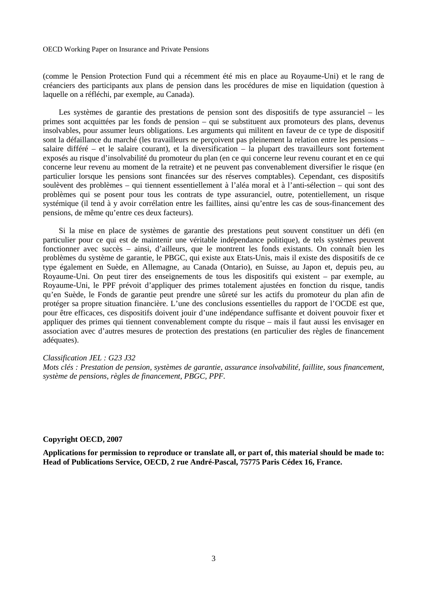(comme le Pension Protection Fund qui a récemment été mis en place au Royaume-Uni) et le rang de créanciers des participants aux plans de pension dans les procédures de mise en liquidation (question à laquelle on a réfléchi, par exemple, au Canada).

Les systèmes de garantie des prestations de pension sont des dispositifs de type assuranciel – les primes sont acquittées par les fonds de pension – qui se substituent aux promoteurs des plans, devenus insolvables, pour assumer leurs obligations. Les arguments qui militent en faveur de ce type de dispositif sont la défaillance du marché (les travailleurs ne perçoivent pas pleinement la relation entre les pensions – salaire différé – et le salaire courant), et la diversification – la plupart des travailleurs sont fortement exposés au risque d'insolvabilité du promoteur du plan (en ce qui concerne leur revenu courant et en ce qui concerne leur revenu au moment de la retraite) et ne peuvent pas convenablement diversifier le risque (en particulier lorsque les pensions sont financées sur des réserves comptables). Cependant, ces dispositifs soulèvent des problèmes – qui tiennent essentiellement à l'aléa moral et à l'anti-sélection – qui sont des problèmes qui se posent pour tous les contrats de type assuranciel, outre, potentiellement, un risque systémique (il tend à y avoir corrélation entre les faillites, ainsi qu'entre les cas de sous-financement des pensions, de même qu'entre ces deux facteurs).

Si la mise en place de systèmes de garantie des prestations peut souvent constituer un défi (en particulier pour ce qui est de maintenir une véritable indépendance politique), de tels systèmes peuvent fonctionner avec succès – ainsi, d'ailleurs, que le montrent les fonds existants. On connaît bien les problèmes du système de garantie, le PBGC, qui existe aux Etats-Unis, mais il existe des dispositifs de ce type également en Suède, en Allemagne, au Canada (Ontario), en Suisse, au Japon et, depuis peu, au Royaume-Uni. On peut tirer des enseignements de tous les dispositifs qui existent – par exemple, au Royaume-Uni, le PPF prévoit d'appliquer des primes totalement ajustées en fonction du risque, tandis qu'en Suède, le Fonds de garantie peut prendre une sûreté sur les actifs du promoteur du plan afin de protéger sa propre situation financière. L'une des conclusions essentielles du rapport de l'OCDE est que, pour être efficaces, ces dispositifs doivent jouir d'une indépendance suffisante et doivent pouvoir fixer et appliquer des primes qui tiennent convenablement compte du risque – mais il faut aussi les envisager en association avec d'autres mesures de protection des prestations (en particulier des règles de financement adéquates).

#### *Classification JEL : G23 J32*

*Mots clés : Prestation de pension, systèmes de garantie, assurance insolvabilité, faillite, sous financement, système de pensions, règles de financement, PBGC, PPF.*

## **Copyright OECD, 2007**

**Applications for permission to reproduce or translate all, or part of, this material should be made to: Head of Publications Service, OECD, 2 rue André-Pascal, 75775 Paris Cédex 16, France.**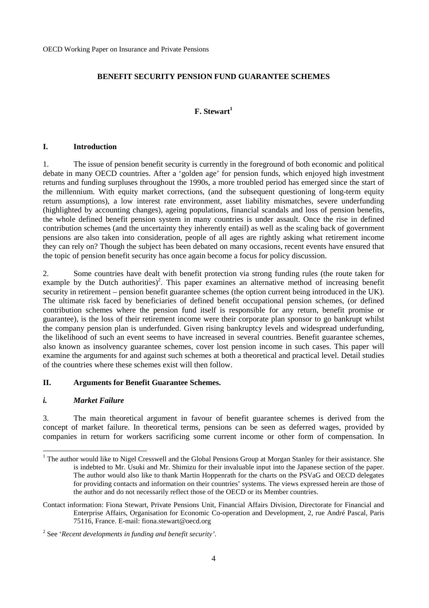## **BENEFIT SECURITY PENSION FUND GUARANTEE SCHEMES**

## **F.** Stewart<sup>1</sup>

## **I. Introduction**

1. The issue of pension benefit security is currently in the foreground of both economic and political debate in many OECD countries. After a 'golden age' for pension funds, which enjoyed high investment returns and funding surpluses throughout the 1990s, a more troubled period has emerged since the start of the millennium. With equity market corrections, (and the subsequent questioning of long-term equity return assumptions), a low interest rate environment, asset liability mismatches, severe underfunding (highlighted by accounting changes), ageing populations, financial scandals and loss of pension benefits, the whole defined benefit pension system in many countries is under assault. Once the rise in defined contribution schemes (and the uncertainty they inherently entail) as well as the scaling back of government pensions are also taken into consideration, people of all ages are rightly asking what retirement income they can rely on? Though the subject has been debated on many occasions, recent events have ensured that the topic of pension benefit security has once again become a focus for policy discussion.

2. Some countries have dealt with benefit protection via strong funding rules (the route taken for example by the Dutch authorities)<sup>2</sup>. This paper examines an alternative method of increasing benefit security in retirement – pension benefit guarantee schemes (the option current being introduced in the UK). The ultimate risk faced by beneficiaries of defined benefit occupational pension schemes, (or defined contribution schemes where the pension fund itself is responsible for any return, benefit promise or guarantee), is the loss of their retirement income were their corporate plan sponsor to go bankrupt whilst the company pension plan is underfunded. Given rising bankruptcy levels and widespread underfunding, the likelihood of such an event seems to have increased in several countries. Benefit guarantee schemes, also known as insolvency guarantee schemes, cover lost pension income in such cases. This paper will examine the arguments for and against such schemes at both a theoretical and practical level. Detail studies of the countries where these schemes exist will then follow.

## **II. Arguments for Benefit Guarantee Schemes.**

## *i. Market Failure*

3. The main theoretical argument in favour of benefit guarantee schemes is derived from the concept of market failure. In theoretical terms, pensions can be seen as deferred wages, provided by companies in return for workers sacrificing some current income or other form of compensation. In

<sup>&</sup>lt;sup>1</sup> The author would like to Nigel Cresswell and the Global Pensions Group at Morgan Stanley for their assistance. She is indebted to Mr. Usuki and Mr. Shimizu for their invaluable input into the Japanese section of the paper. The author would also like to thank Martin Hoppenrath for the charts on the PSVaG and OECD delegates for providing contacts and information on their countries' systems. The views expressed herein are those of the author and do not necessarily reflect those of the OECD or its Member countries.

Contact information: Fiona Stewart, Private Pensions Unit, Financial Affairs Division, Directorate for Financial and Enterprise Affairs, Organisation for Economic Co-operation and Development, 2, rue André Pascal, Paris 75116, France. E-mail: fiona.stewart@oecd.org

<sup>2</sup> See '*Recent developments in funding and benefit security'.*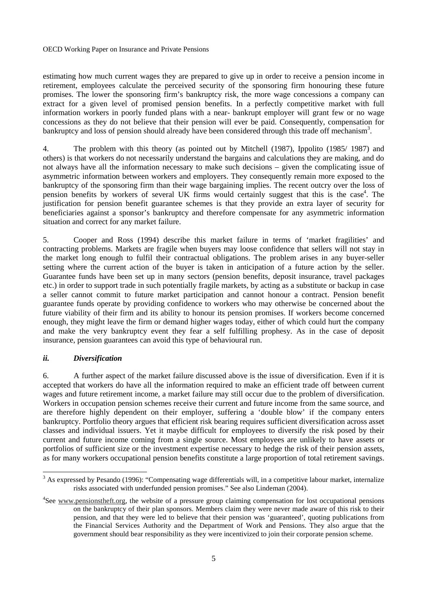estimating how much current wages they are prepared to give up in order to receive a pension income in retirement, employees calculate the perceived security of the sponsoring firm honouring these future promises. The lower the sponsoring firm's bankruptcy risk, the more wage concessions a company can extract for a given level of promised pension benefits. In a perfectly competitive market with full information workers in poorly funded plans with a near- bankrupt employer will grant few or no wage concessions as they do not believe that their pension will ever be paid. Consequently, compensation for bankruptcy and loss of pension should already have been considered through this trade off mechanism<sup>3</sup>.

4. The problem with this theory (as pointed out by Mitchell (1987), Ippolito (1985/ 1987) and others) is that workers do not necessarily understand the bargains and calculations they are making, and do not always have all the information necessary to make such decisions – given the complicating issue of asymmetric information between workers and employers. They consequently remain more exposed to the bankruptcy of the sponsoring firm than their wage bargaining implies. The recent outcry over the loss of pension benefits by workers of several UK firms would certainly suggest that this is the case<sup>4</sup>. The justification for pension benefit guarantee schemes is that they provide an extra layer of security for beneficiaries against a sponsor's bankruptcy and therefore compensate for any asymmetric information situation and correct for any market failure.

5. Cooper and Ross (1994) describe this market failure in terms of 'market fragilities' and contracting problems. Markets are fragile when buyers may loose confidence that sellers will not stay in the market long enough to fulfil their contractual obligations. The problem arises in any buyer-seller setting where the current action of the buyer is taken in anticipation of a future action by the seller. Guarantee funds have been set up in many sectors (pension benefits, deposit insurance, travel packages etc.) in order to support trade in such potentially fragile markets, by acting as a substitute or backup in case a seller cannot commit to future market participation and cannot honour a contract. Pension benefit guarantee funds operate by providing confidence to workers who may otherwise be concerned about the future viability of their firm and its ability to honour its pension promises. If workers become concerned enough, they might leave the firm or demand higher wages today, either of which could hurt the company and make the very bankruptcy event they fear a self fulfilling prophesy. As in the case of deposit insurance, pension guarantees can avoid this type of behavioural run.

#### *ii. Diversification*

6. A further aspect of the market failure discussed above is the issue of diversification. Even if it is accepted that workers do have all the information required to make an efficient trade off between current wages and future retirement income, a market failure may still occur due to the problem of diversification. Workers in occupation pension schemes receive their current and future income from the same source, and are therefore highly dependent on their employer, suffering a 'double blow' if the company enters bankruptcy. Portfolio theory argues that efficient risk bearing requires sufficient diversification across asset classes and individual issuers. Yet it maybe difficult for employees to diversify the risk posed by their current and future income coming from a single source. Most employees are unlikely to have assets or portfolios of sufficient size or the investment expertise necessary to hedge the risk of their pension assets, as for many workers occupational pension benefits constitute a large proportion of total retirement savings.

<sup>&</sup>lt;sup>3</sup> As expressed by Pesando (1996): "Compensating wage differentials will, in a competitive labour market, internalize risks associated with underfunded pension promises." See also Lindeman (2004).

<sup>&</sup>lt;sup>4</sup>See www.pensionstheft.org, the website of a pressure group claiming compensation for lost occupational pensions on the bankruptcy of their plan sponsors. Members claim they were never made aware of this risk to their pension, and that they were led to believe that their pension was 'guaranteed', quoting publications from the Financial Services Authority and the Department of Work and Pensions. They also argue that the government should bear responsibility as they were incentivized to join their corporate pension scheme.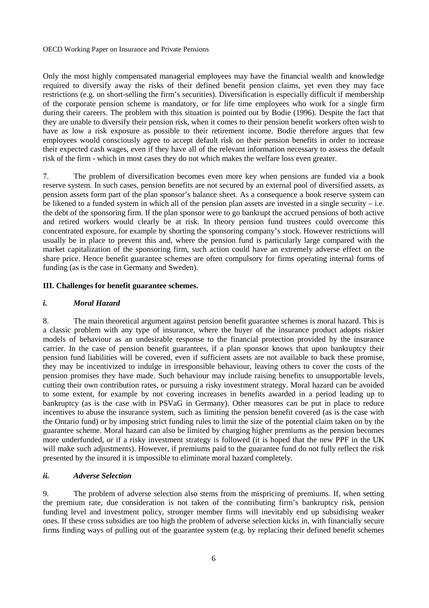Only the most highly compensated managerial employees may have the financial wealth and knowledge required to diversify away the risks of their defined benefit pension claims, yet even they may face restrictions (e.g. on short-selling the firm's securities). Diversification is especially difficult if membership of the corporate pension scheme is mandatory, or for life time employees who work for a single firm during their careers. The problem with this situation is pointed out by Bodie (1996). Despite the fact that they are unable to diversify their pension risk, when it comes to their pension benefit workers often wish to have as low a risk exposure as possible to their retirement income. Bodie therefore argues that few employees would consciously agree to accept default risk on their pension benefits in order to increase their expected cash wages, even if they have all of the relevant information necessary to assess the default risk of the firm - which in most cases they do not which makes the welfare loss even greater.

7. The problem of diversification becomes even more key when pensions are funded via a book reserve system. In such cases, pension benefits are not secured by an external pool of diversified assets, as pension assets form part of the plan sponsor's balance sheet. As a consequence a book reserve system can be likened to a funded system in which all of the pension plan assets are invested in a single security – i.e. the debt of the sponsoring firm. If the plan sponsor were to go bankrupt the accrued pensions of both active and retired workers would clearly be at risk. In theory pension fund trustees could overcome this concentrated exposure, for example by shorting the sponsoring company's stock. However restrictions will usually be in place to prevent this and, where the pension fund is particularly large compared with the market capitalization of the sponsoring firm, such action could have an extremely adverse effect on the share price. Hence benefit guarantee schemes are often compulsory for firms operating internal forms of funding (as is the case in Germany and Sweden).

## **III. Challenges for benefit guarantee schemes.**

## *i. Moral Hazard*

8. The main theoretical argument against pension benefit guarantee schemes is moral hazard. This is a classic problem with any type of insurance, where the buyer of the insurance product adopts riskier models of behaviour as an undesirable response to the financial protection provided by the insurance carrier. In the case of pension benefit guarantees, if a plan sponsor knows that upon bankruptcy their pension fund liabilities will be covered, even if sufficient assets are not available to back these promise, they may be incentivized to indulge in irresponsible behaviour, leaving others to cover the costs of the pension promises they have made. Such behaviour may include raising benefits to unsupportable levels, cutting their own contribution rates, or pursuing a risky investment strategy. Moral hazard can be avoided to some extent, for example by not covering increases in benefits awarded in a period leading up to bankruptcy (as is the case with in PSVaG in Germany). Other measures can be put in place to reduce incentives to abuse the insurance system, such as limiting the pension benefit covered (as is the case with the Ontario fund) or by imposing strict funding rules to limit the size of the potential claim taken on by the guarantee scheme. Moral hazard can also be limited by charging higher premiums as the pension becomes more underfunded, or if a risky investment strategy is followed (it is hoped that the new PPF in the UK will make such adjustments). However, if premiums paid to the guarantee fund do not fully reflect the risk presented by the insured it is impossible to eliminate moral hazard completely.

## *ii. Adverse Selection*

9. The problem of adverse selection also stems from the mispricing of premiums. If, when setting the premium rate, due consideration is not taken of the contributing firm's bankruptcy risk, pension funding level and investment policy, stronger member firms will inevitably end up subsidising weaker ones. If these cross subsidies are too high the problem of adverse selection kicks in, with financially secure firms finding ways of pulling out of the guarantee system (e.g. by replacing their defined benefit schemes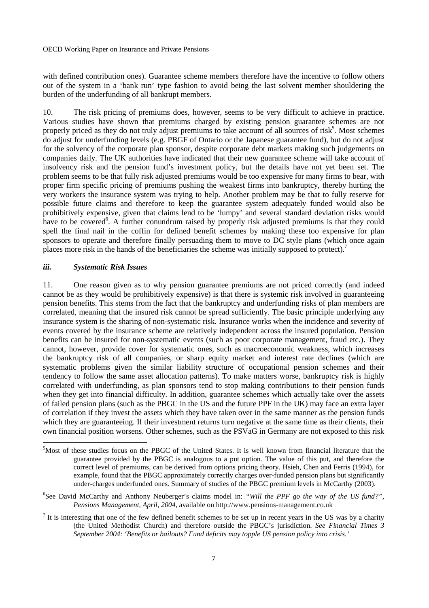with defined contribution ones). Guarantee scheme members therefore have the incentive to follow others out of the system in a 'bank run' type fashion to avoid being the last solvent member shouldering the burden of the underfunding of all bankrupt members.

10. The risk pricing of premiums does, however, seems to be very difficult to achieve in practice. Various studies have shown that premiums charged by existing pension guarantee schemes are not properly priced as they do not truly adjust premiums to take account of all sources of risk<sup>5</sup>. Most schemes do adjust for underfunding levels (e.g. PBGF of Ontario or the Japanese guarantee fund), but do not adjust for the solvency of the corporate plan sponsor, despite corporate debt markets making such judgements on companies daily. The UK authorities have indicated that their new guarantee scheme will take account of insolvency risk and the pension fund's investment policy, but the details have not yet been set. The problem seems to be that fully risk adjusted premiums would be too expensive for many firms to bear, with proper firm specific pricing of premiums pushing the weakest firms into bankruptcy, thereby hurting the very workers the insurance system was trying to help. Another problem may be that to fully reserve for possible future claims and therefore to keep the guarantee system adequately funded would also be prohibitively expensive, given that claims lend to be 'lumpy' and several standard deviation risks would have to be covered<sup>6</sup>. A further conundrum raised by properly risk adjusted premiums is that they could spell the final nail in the coffin for defined benefit schemes by making these too expensive for plan sponsors to operate and therefore finally persuading them to move to DC style plans (which once again places more risk in the hands of the beneficiaries the scheme was initially supposed to protect).7

## *iii. Systematic Risk Issues*

 $\overline{a}$ 

11. One reason given as to why pension guarantee premiums are not priced correctly (and indeed cannot be as they would be prohibitively expensive) is that there is systemic risk involved in guaranteeing pension benefits. This stems from the fact that the bankruptcy and underfunding risks of plan members are correlated, meaning that the insured risk cannot be spread sufficiently. The basic principle underlying any insurance system is the sharing of non-systematic risk. Insurance works when the incidence and severity of events covered by the insurance scheme are relatively independent across the insured population. Pension benefits can be insured for non-systematic events (such as poor corporate management, fraud etc.). They cannot, however, provide cover for systematic ones, such as macroeconomic weakness, which increases the bankruptcy risk of all companies, or sharp equity market and interest rate declines (which are systematic problems given the similar liability structure of occupational pension schemes and their tendency to follow the same asset allocation patterns). To make matters worse, bankruptcy risk is highly correlated with underfunding, as plan sponsors tend to stop making contributions to their pension funds when they get into financial difficulty. In addition, guarantee schemes which actually take over the assets of failed pension plans (such as the PBGC in the US and the future PPF in the UK) may face an extra layer of correlation if they invest the assets which they have taken over in the same manner as the pension funds which they are guaranteeing. If their investment returns turn negative at the same time as their clients, their own financial position worsens. Other schemes, such as the PSVaG in Germany are not exposed to this risk

 $<sup>7</sup>$  It is interesting that one of the few defined benefit schemes to be set up in recent years in the US was by a charity</sup> (the United Methodist Church) and therefore outside the PBGC's jurisdiction. *See Financial Times 3 September 2004: 'Benefits or bailouts? Fund deficits may topple US pension policy into crisis.'*

<sup>5</sup> Most of these studies focus on the PBGC of the United States. It is well known from financial literature that the guarantee provided by the PBGC is analogous to a put option. The value of this put, and therefore the correct level of premiums, can be derived from options pricing theory. Hsieh, Chen and Ferris (1994), for example, found that the PBGC approximately correctly charges over-funded pension plans but significantly under-charges underfunded ones. Summary of studies of the PBGC premium levels in McCarthy (2003).

<sup>&</sup>lt;sup>6</sup>See David McCarthy and Anthony Neuberger's claims model in: "Will the PPF go the way of the US fund?", *Pensions Management, April, 2004*, available on http://www.pensions-management.co.uk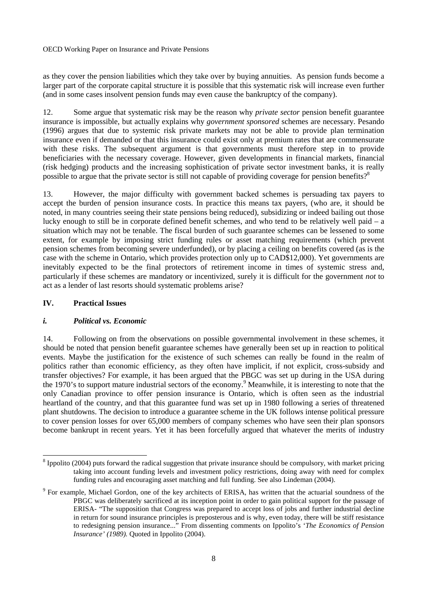as they cover the pension liabilities which they take over by buying annuities. As pension funds become a larger part of the corporate capital structure it is possible that this systematic risk will increase even further (and in some cases insolvent pension funds may even cause the bankruptcy of the company).

12. Some argue that systematic risk may be the reason why *private sector* pension benefit guarantee insurance is impossible, but actually explains why *government sponsored* schemes are necessary. Pesando (1996) argues that due to systemic risk private markets may not be able to provide plan termination insurance even if demanded or that this insurance could exist only at premium rates that are commensurate with these risks. The subsequent argument is that governments must therefore step in to provide beneficiaries with the necessary coverage. However, given developments in financial markets, financial (risk hedging) products and the increasing sophistication of private sector investment banks, it is really possible to argue that the private sector is still not capable of providing coverage for pension benefits?<sup>8</sup>

13. However, the major difficulty with government backed schemes is persuading tax payers to accept the burden of pension insurance costs. In practice this means tax payers, (who are, it should be noted, in many countries seeing their state pensions being reduced), subsidizing or indeed bailing out those lucky enough to still be in corporate defined benefit schemes, and who tend to be relatively well paid – a situation which may not be tenable. The fiscal burden of such guarantee schemes can be lessened to some extent, for example by imposing strict funding rules or asset matching requirements (which prevent pension schemes from becoming severe underfunded), or by placing a ceiling on benefits covered (as is the case with the scheme in Ontario, which provides protection only up to CAD\$12,000). Yet governments are inevitably expected to be the final protectors of retirement income in times of systemic stress and, particularly if these schemes are mandatory or incentivized, surely it is difficult for the government *not* to act as a lender of last resorts should systematic problems arise?

## **IV. Practical Issues**

 $\overline{a}$ 

## *i. Political vs. Economic*

14. Following on from the observations on possible governmental involvement in these schemes, it should be noted that pension benefit guarantee schemes have generally been set up in reaction to political events. Maybe the justification for the existence of such schemes can really be found in the realm of politics rather than economic efficiency, as they often have implicit, if not explicit, cross-subsidy and transfer objectives? For example, it has been argued that the PBGC was set up during in the USA during the 1970's to support mature industrial sectors of the economy.<sup>9</sup> Meanwhile, it is interesting to note that the only Canadian province to offer pension insurance is Ontario, which is often seen as the industrial heartland of the country, and that this guarantee fund was set up in 1980 following a series of threatened plant shutdowns. The decision to introduce a guarantee scheme in the UK follows intense political pressure to cover pension losses for over 65,000 members of company schemes who have seen their plan sponsors become bankrupt in recent years. Yet it has been forcefully argued that whatever the merits of industry

 $8$  Ippolito (2004) puts forward the radical suggestion that private insurance should be compulsory, with market pricing taking into account funding levels and investment policy restrictions, doing away with need for complex funding rules and encouraging asset matching and full funding. See also Lindeman (2004).

<sup>&</sup>lt;sup>9</sup> For example, Michael Gordon, one of the key architects of ERISA, has written that the actuarial soundness of the PBGC was deliberately sacrificed at its inception point in order to gain political support for the passage of ERISA- "The supposition that Congress was prepared to accept loss of jobs and further industrial decline in return for sound insurance principles is preposterous and is why, even today, there will be stiff resistance to redesigning pension insurance..." From dissenting comments on Ippolito's '*The Economics of Pension Insurance' (1989).* Quoted in Ippolito (2004).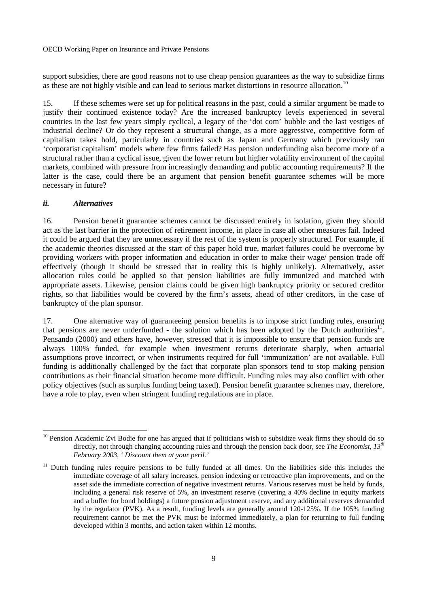support subsidies, there are good reasons not to use cheap pension guarantees as the way to subsidize firms as these are not highly visible and can lead to serious market distortions in resource allocation.<sup>10</sup>

15. If these schemes were set up for political reasons in the past, could a similar argument be made to justify their continued existence today? Are the increased bankruptcy levels experienced in several countries in the last few years simply cyclical, a legacy of the 'dot com' bubble and the last vestiges of industrial decline? Or do they represent a structural change, as a more aggressive, competitive form of capitalism takes hold, particularly in countries such as Japan and Germany which previously ran 'corporatist capitalism' models where few firms failed? Has pension underfunding also become more of a structural rather than a cyclical issue, given the lower return but higher volatility environment of the capital markets, combined with pressure from increasingly demanding and public accounting requirements? If the latter is the case, could there be an argument that pension benefit guarantee schemes will be more necessary in future?

## *ii. Alternatives*

 $\overline{a}$ 

16. Pension benefit guarantee schemes cannot be discussed entirely in isolation, given they should act as the last barrier in the protection of retirement income, in place in case all other measures fail. Indeed it could be argued that they are unnecessary if the rest of the system is properly structured. For example, if the academic theories discussed at the start of this paper hold true, market failures could be overcome by providing workers with proper information and education in order to make their wage/ pension trade off effectively (though it should be stressed that in reality this is highly unlikely). Alternatively, asset allocation rules could be applied so that pension liabilities are fully immunized and matched with appropriate assets. Likewise, pension claims could be given high bankruptcy priority or secured creditor rights, so that liabilities would be covered by the firm's assets, ahead of other creditors, in the case of bankruptcy of the plan sponsor.

17. One alternative way of guaranteeing pension benefits is to impose strict funding rules, ensuring that pensions are never underfunded - the solution which has been adopted by the Dutch authorities<sup>11</sup>. Pensando (2000) and others have, however, stressed that it is impossible to ensure that pension funds are always 100% funded, for example when investment returns deteriorate sharply, when actuarial assumptions prove incorrect, or when instruments required for full 'immunization' are not available. Full funding is additionally challenged by the fact that corporate plan sponsors tend to stop making pension contributions as their financial situation become more difficult. Funding rules may also conflict with other policy objectives (such as surplus funding being taxed). Pension benefit guarantee schemes may, therefore, have a role to play, even when stringent funding regulations are in place.

 $10$  Pension Academic Zvi Bodie for one has argued that if politicians wish to subsidize weak firms they should do so directly, not through changing accounting rules and through the pension back door, see *The Economist, 13th February 2003, ' Discount them at your peril.'*

 $11$  Dutch funding rules require pensions to be fully funded at all times. On the liabilities side this includes the immediate coverage of all salary increases, pension indexing or retroactive plan improvements, and on the asset side the immediate correction of negative investment returns. Various reserves must be held by funds, including a general risk reserve of 5%, an investment reserve (covering a 40% decline in equity markets and a buffer for bond holdings) a future pension adjustment reserve, and any additional reserves demanded by the regulator (PVK). As a result, funding levels are generally around 120-125%. If the 105% funding requirement cannot be met the PVK must be informed immediately, a plan for returning to full funding developed within 3 months, and action taken within 12 months.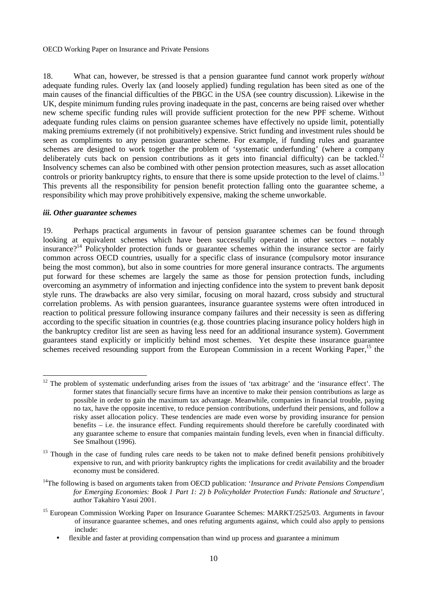18. What can, however, be stressed is that a pension guarantee fund cannot work properly *without* adequate funding rules. Overly lax (and loosely applied) funding regulation has been sited as one of the main causes of the financial difficulties of the PBGC in the USA (see country discussion). Likewise in the UK, despite minimum funding rules proving inadequate in the past, concerns are being raised over whether new scheme specific funding rules will provide sufficient protection for the new PPF scheme. Without adequate funding rules claims on pension guarantee schemes have effectively no upside limit, potentially making premiums extremely (if not prohibitively) expensive. Strict funding and investment rules should be seen as compliments to any pension guarantee scheme. For example, if funding rules and guarantee schemes are designed to work together the problem of 'systematic underfunding' (where a company deliberately cuts back on pension contributions as it gets into financial difficulty) can be tackled.<sup>12</sup> Insolvency schemes can also be combined with other pension protection measures, such as asset allocation controls or priority bankruptcy rights, to ensure that there is some upside protection to the level of claims.<sup>13</sup> This prevents all the responsibility for pension benefit protection falling onto the guarantee scheme, a responsibility which may prove prohibitively expensive, making the scheme unworkable.

#### *iii. Other guarantee schemes*

 $\overline{a}$ 

19. Perhaps practical arguments in favour of pension guarantee schemes can be found through looking at equivalent schemes which have been successfully operated in other sectors – notably insurance?14 Policyholder protection funds or guarantee schemes within the insurance sector are fairly common across OECD countries, usually for a specific class of insurance (compulsory motor insurance being the most common), but also in some countries for more general insurance contracts. The arguments put forward for these schemes are largely the same as those for pension protection funds, including overcoming an asymmetry of information and injecting confidence into the system to prevent bank deposit style runs. The drawbacks are also very similar, focusing on moral hazard, cross subsidy and structural correlation problems. As with pension guarantees, insurance guarantee systems were often introduced in reaction to political pressure following insurance company failures and their necessity is seen as differing according to the specific situation in countries (e.g. those countries placing insurance policy holders high in the bankruptcy creditor list are seen as having less need for an additional insurance system). Government guarantees stand explicitly or implicitly behind most schemes. Yet despite these insurance guarantee schemes received resounding support from the European Commission in a recent Working Paper,<sup>15</sup> the

 $12$  The problem of systematic underfunding arises from the issues of 'tax arbitrage' and the 'insurance effect'. The former states that financially secure firms have an incentive to make their pension contributions as large as possible in order to gain the maximum tax advantage. Meanwhile, companies in financial trouble, paying no tax, have the opposite incentive, to reduce pension contributions, underfund their pensions, and follow a risky asset allocation policy. These tendencies are made even worse by providing insurance for pension benefits – i.e. the insurance effect. Funding requirements should therefore be carefully coordinated with any guarantee scheme to ensure that companies maintain funding levels, even when in financial difficulty. See Smalhout (1996).

 $13$  Though in the case of funding rules care needs to be taken not to make defined benefit pensions prohibitively expensive to run, and with priority bankruptcy rights the implications for credit availability and the broader economy must be considered.

<sup>14</sup>The following is based on arguments taken from OECD publication: '*Insurance and Private Pensions Compendium for Emerging Economies: Book 1 Part 1: 2) b Policyholder Protection Funds: Rationale and Structure'*, author Takahiro Yasui 2001.

<sup>&</sup>lt;sup>15</sup> European Commission Working Paper on Insurance Guarantee Schemes: MARKT/2525/03. Arguments in favour of insurance guarantee schemes, and ones refuting arguments against, which could also apply to pensions include:

flexible and faster at providing compensation than wind up process and guarantee a minimum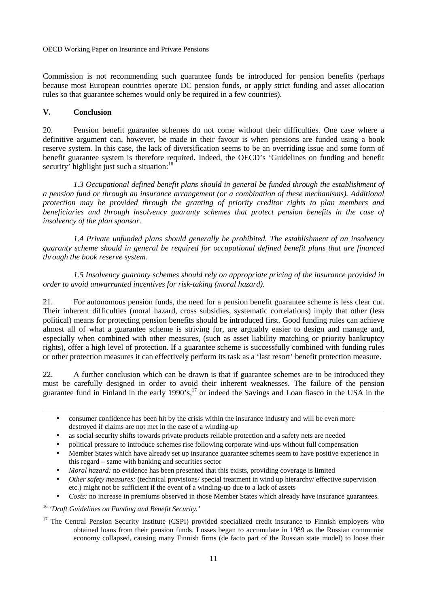Commission is not recommending such guarantee funds be introduced for pension benefits (perhaps because most European countries operate DC pension funds, or apply strict funding and asset allocation rules so that guarantee schemes would only be required in a few countries).

## **V. Conclusion**

-

20. Pension benefit guarantee schemes do not come without their difficulties. One case where a definitive argument can, however, be made in their favour is when pensions are funded using a book reserve system. In this case, the lack of diversification seems to be an overriding issue and some form of benefit guarantee system is therefore required. Indeed, the OECD's 'Guidelines on funding and benefit security' highlight just such a situation:<sup>16</sup>

 *1.3 Occupational defined benefit plans should in general be funded through the establishment of a pension fund or through an insurance arrangement (or a combination of these mechanisms). Additional protection may be provided through the granting of priority creditor rights to plan members and beneficiaries and through insolvency guaranty schemes that protect pension benefits in the case of insolvency of the plan sponsor.* 

 *1.4 Private unfunded plans should generally be prohibited. The establishment of an insolvency guaranty scheme should in general be required for occupational defined benefit plans that are financed through the book reserve system.* 

 *1.5 Insolvency guaranty schemes should rely on appropriate pricing of the insurance provided in order to avoid unwarranted incentives for risk-taking (moral hazard).* 

21. For autonomous pension funds, the need for a pension benefit guarantee scheme is less clear cut. Their inherent difficulties (moral hazard, cross subsidies, systematic correlations) imply that other (less political) means for protecting pension benefits should be introduced first. Good funding rules can achieve almost all of what a guarantee scheme is striving for, are arguably easier to design and manage and, especially when combined with other measures, (such as asset liability matching or priority bankruptcy rights), offer a high level of protection. If a guarantee scheme is successfully combined with funding rules or other protection measures it can effectively perform its task as a 'last resort' benefit protection measure.

22. A further conclusion which can be drawn is that if guarantee schemes are to be introduced they must be carefully designed in order to avoid their inherent weaknesses. The failure of the pension guarantee fund in Finland in the early 1990's,<sup>17</sup> or indeed the Savings and Loan fiasco in the USA in the

- consumer confidence has been hit by the crisis within the insurance industry and will be even more destroyed if claims are not met in the case of a winding-up
- as social security shifts towards private products reliable protection and a safety nets are needed
- political pressure to introduce schemes rise following corporate wind-ups without full compensation
- Member States which have already set up insurance guarantee schemes seem to have positive experience in this regard – same with banking and securities sector
- *Moral hazard:* no evidence has been presented that this exists, providing coverage is limited
- *Other safety measures:* (technical provisions/ special treatment in wind up hierarchy/ effective supervision etc.) might not be sufficient if the event of a winding-up due to a lack of assets
- *Costs:* no increase in premiums observed in those Member States which already have insurance guarantees.

<sup>16</sup> *'Draft Guidelines on Funding and Benefit Security.'*

<sup>17</sup> The Central Pension Security Institute (CSPI) provided specialized credit insurance to Finnish employers who obtained loans from their pension funds. Losses began to accumulate in 1989 as the Russian communist economy collapsed, causing many Finnish firms (de facto part of the Russian state model) to loose their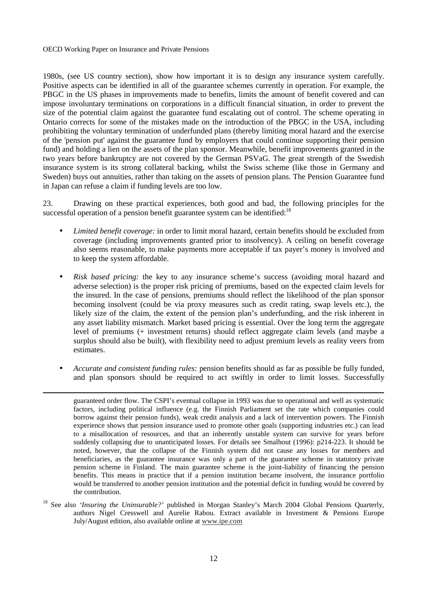-

1980s, (see US country section), show how important it is to design any insurance system carefully. Positive aspects can be identified in all of the guarantee schemes currently in operation. For example, the PBGC in the US phases in improvements made to benefits, limits the amount of benefit covered and can impose involuntary terminations on corporations in a difficult financial situation, in order to prevent the size of the potential claim against the guarantee fund escalating out of control. The scheme operating in Ontario corrects for some of the mistakes made on the introduction of the PBGC in the USA, including prohibiting the voluntary termination of underfunded plans (thereby limiting moral hazard and the exercise of the 'pension put' against the guarantee fund by employers that could continue supporting their pension fund) and holding a lien on the assets of the plan sponsor. Meanwhile, benefit improvements granted in the two years before bankruptcy are not covered by the German PSVaG. The great strength of the Swedish insurance system is its strong collateral backing, whilst the Swiss scheme (like those in Germany and Sweden) buys out annuities, rather than taking on the assets of pension plans. The Pension Guarantee fund in Japan can refuse a claim if funding levels are too low.

23. Drawing on these practical experiences, both good and bad, the following principles for the successful operation of a pension benefit guarantee system can be identified:  $18$ 

- *Limited benefit coverage:* in order to limit moral hazard, certain benefits should be excluded from coverage (including improvements granted prior to insolvency). A ceiling on benefit coverage also seems reasonable, to make payments more acceptable if tax payer's money is involved and to keep the system affordable.
- *Risk based pricing:* the key to any insurance scheme's success (avoiding moral hazard and adverse selection) is the proper risk pricing of premiums, based on the expected claim levels for the insured. In the case of pensions, premiums should reflect the likelihood of the plan sponsor becoming insolvent (could be via proxy measures such as credit rating, swap levels etc.), the likely size of the claim, the extent of the pension plan's underfunding, and the risk inherent in any asset liability mismatch. Market based pricing is essential. Over the long term the aggregate level of premiums (+ investment returns) should reflect aggregate claim levels (and maybe a surplus should also be built), with flexibility need to adjust premium levels as reality veers from estimates.
- *Accurate and consistent funding rules:* pension benefits should as far as possible be fully funded, and plan sponsors should be required to act swiftly in order to limit losses. Successfully

18 See also *'Insuring the Uninsurable?'* published in Morgan Stanley's March 2004 Global Pensions Quarterly, authors Nigel Cresswell and Aurelie Rabou. Extract available in Investment & Pensions Europe July/August edition, also available online at www.ipe.com

guaranteed order flow. The CSPI's eventual collapse in 1993 was due to operational and well as systematic factors, including political influence (e.g. the Finnish Parliament set the rate which companies could borrow against their pension funds), weak credit analysis and a lack of intervention powers. The Finnish experience shows that pension insurance used to promote other goals (supporting industries etc.) can lead to a misallocation of resources, and that an inherently unstable system can survive for years before suddenly collapsing due to unanticipated losses. For details see Smalhout (1996): p214-223. It should be noted, however, that the collapse of the Finnish system did not cause any losses for members and beneficiaries, as the guarantee insurance was only a part of the guarantee scheme in statutory private pension scheme in Finland. The main guarantee scheme is the joint-liability of financing the pension benefits. This means in practice that if a pension institution became insolvent, the insurance portfolio would be transferred to another pension institution and the potential deficit in funding would be covered by the contribution.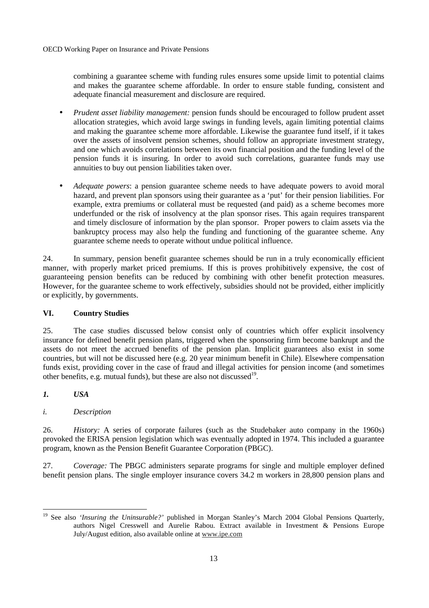combining a guarantee scheme with funding rules ensures some upside limit to potential claims and makes the guarantee scheme affordable. In order to ensure stable funding, consistent and adequate financial measurement and disclosure are required.

- *Prudent asset liability management:* pension funds should be encouraged to follow prudent asset allocation strategies, which avoid large swings in funding levels, again limiting potential claims and making the guarantee scheme more affordable. Likewise the guarantee fund itself, if it takes over the assets of insolvent pension schemes, should follow an appropriate investment strategy, and one which avoids correlations between its own financial position and the funding level of the pension funds it is insuring. In order to avoid such correlations, guarantee funds may use annuities to buy out pension liabilities taken over.
- *Adequate powers*: a pension guarantee scheme needs to have adequate powers to avoid moral hazard, and prevent plan sponsors using their guarantee as a 'put' for their pension liabilities. For example, extra premiums or collateral must be requested (and paid) as a scheme becomes more underfunded or the risk of insolvency at the plan sponsor rises. This again requires transparent and timely disclosure of information by the plan sponsor. Proper powers to claim assets via the bankruptcy process may also help the funding and functioning of the guarantee scheme. Any guarantee scheme needs to operate without undue political influence.

24. In summary, pension benefit guarantee schemes should be run in a truly economically efficient manner, with properly market priced premiums. If this is proves prohibitively expensive, the cost of guaranteeing pension benefits can be reduced by combining with other benefit protection measures. However, for the guarantee scheme to work effectively, subsidies should not be provided, either implicitly or explicitly, by governments.

## **VI. Country Studies**

25. The case studies discussed below consist only of countries which offer explicit insolvency insurance for defined benefit pension plans, triggered when the sponsoring firm become bankrupt and the assets do not meet the accrued benefits of the pension plan. Implicit guarantees also exist in some countries, but will not be discussed here (e.g. 20 year minimum benefit in Chile). Elsewhere compensation funds exist, providing cover in the case of fraud and illegal activities for pension income (and sometimes other benefits, e.g. mutual funds), but these are also not discussed $19$ .

## *1. USA*

## *i. Description*

26. *History:* A series of corporate failures (such as the Studebaker auto company in the 1960s) provoked the ERISA pension legislation which was eventually adopted in 1974. This included a guarantee program, known as the Pension Benefit Guarantee Corporation (PBGC).

27. *Coverage:* The PBGC administers separate programs for single and multiple employer defined benefit pension plans. The single employer insurance covers 34.2 m workers in 28,800 pension plans and

 $\overline{a}$ 19 See also *'Insuring the Uninsurable?'* published in Morgan Stanley's March 2004 Global Pensions Quarterly, authors Nigel Cresswell and Aurelie Rabou. Extract available in Investment & Pensions Europe July/August edition, also available online at www.ipe.com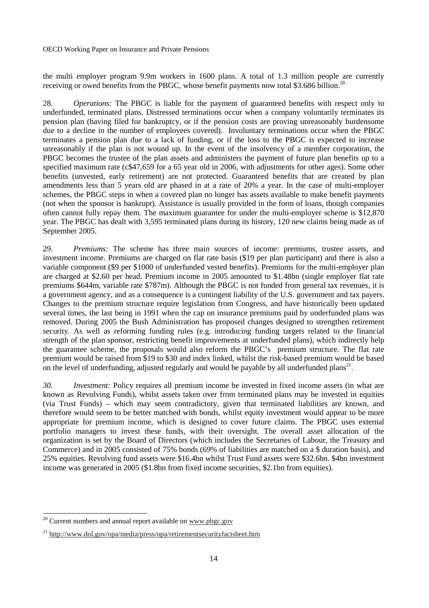the multi employer program 9.9m workers in 1600 plans. A total of 1.3 million people are currently receiving or owed benefits from the PBGC, whose benefit payments now total \$3.686 billion.<sup>20</sup>

28. *Operations:* The PBGC is liable for the payment of guaranteed benefits with respect only to underfunded, terminated plans. Distressed terminations occur when a company voluntarily terminates its pension plan (having filed for bankruptcy, or if the pension costs are proving unreasonably burdensome due to a decline in the number of employees covered). Involuntary terminations occur when the PBGC terminates a pension plan due to a lack of funding, or if the loss to the PBGC is expected to increase unreasonably if the plan is not wound up. In the event of the insolvency of a member corporation, the PBGC becomes the trustee of the plan assets and administers the payment of future plan benefits up to a specified maximum rate (c\$47,659 for a 65 year old in 2006, with adjustments for other ages). Some other benefits (unvested, early retirement) are not protected. Guaranteed benefits that are created by plan amendments less than 5 years old are phased in at a rate of 20% a year. In the case of multi-employer schemes, the PBGC steps in when a covered plan no longer has assets available to make benefit payments (not when the sponsor is bankrupt). Assistance is usually provided in the form of loans, though companies often cannot fully repay them. The maximum guarantee for under the multi-employer scheme is \$12,870 year. The PBGC has dealt with 3,595 terminated plans during its history, 120 new claims being made as of September 2005.

29. *Premiums:* The scheme has three main sources of income: premiums, trustee assets, and investment income. Premiums are charged on flat rate basis (\$19 per plan participant) and there is also a variable component (\$9 per \$1000 of underfunded vested benefits). Premiums for the multi-employer plan are charged at \$2.60 per head. Premium income in 2005 amounted to \$1.48bn (single employer flat rate premiums \$644m, variable rate \$787m). Although the PBGC is not funded from general tax revenues, it is a government agency, and as a consequence is a contingent liability of the U.S. government and tax payers. Changes to the premium structure require legislation from Congress, and have historically been updated several times, the last being in 1991 when the cap on insurance premiums paid by underfunded plans was removed. During 2005 the Bush Administration has proposed changes designed to strengthen retirement security. As well as reforming funding rules (e.g. introducing funding targets related to the financial strength of the plan sponsor, restricting benefit improvements at underfunded plans), which indirectly help the guarantee scheme, the proposals would also reform the PBGC's premium structure. The flat rate premium would be raised from \$19 to \$30 and index linked, whilst the risk-based premium would be based on the level of underfunding, adjusted regularly and would be payable by all underfunded plans<sup>21</sup>.

*30. Investment:* Policy requires all premium income be invested in fixed income assets (in what are known as Revolving Funds), whilst assets taken over from terminated plans may be invested in equities (via Trust Funds) – which may seem contradictory, given that terminated liabilities are known, and therefore would seem to be better matched with bonds, whilst equity investment would appear to be more appropriate for premium income, which is designed to cover future claims. The PBGC uses external portfolio managers to invest these funds, with their oversight. The overall asset allocation of the organization is set by the Board of Directors (which includes the Secretaries of Labour, the Treasury and Commerce) and in 2005 consisted of 75% bonds (69% of liabilities are matched on a \$ duration basis), and 25% equities. Revolving fund assets were \$16.4bn whilst Trust Fund assets were \$32.6bn. \$4bn investment income was generated in 2005 (\$1.8bn from fixed income securities, \$2.1bn from equities).

 $20$  Current numbers and annual report available on  $\frac{www.pbgc.gov}{$ 

<sup>21</sup> http://www.dol.gov/opa/media/press/opa/retirementsecurityfactsheet.htm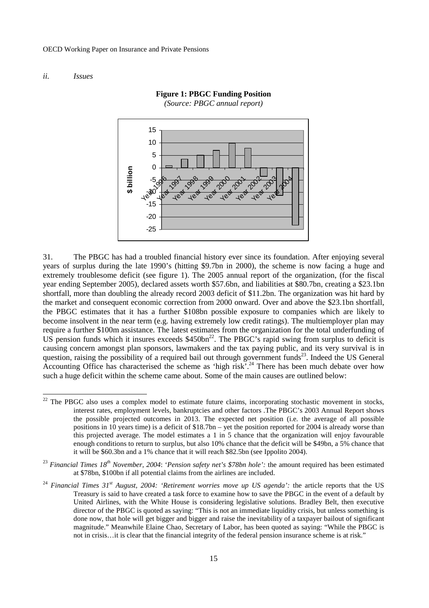#### *ii. Issues*

 $\overline{a}$ 



**Figure 1: PBGC Funding Position**  *(Source: PBGC annual report)*

31. The PBGC has had a troubled financial history ever since its foundation. After enjoying several years of surplus during the late 1990's (hitting \$9.7bn in 2000), the scheme is now facing a huge and extremely troublesome deficit (see figure 1). The 2005 annual report of the organization, (for the fiscal year ending September 2005), declared assets worth \$57.6bn, and liabilities at \$80.7bn, creating a \$23.1bn shortfall, more than doubling the already record 2003 deficit of \$11.2bn. The organization was hit hard by the market and consequent economic correction from 2000 onward. Over and above the \$23.1bn shortfall, the PBGC estimates that it has a further \$108bn possible exposure to companies which are likely to become insolvent in the near term (e.g. having extremely low credit ratings). The multiemployer plan may require a further \$100m assistance. The latest estimates from the organization for the total underfunding of US pension funds which it insures exceeds  $$450bn<sup>22</sup>$ . The PBGC's rapid swing from surplus to deficit is causing concern amongst plan sponsors, lawmakers and the tax paying public, and its very survival is in question, raising the possibility of a required bail out through government funds<sup>23</sup>. Indeed the US General Accounting Office has characterised the scheme as 'high risk'.<sup>24</sup> There has been much debate over how such a huge deficit within the scheme came about. Some of the main causes are outlined below:

 $22$  The PBGC also uses a complex model to estimate future claims, incorporating stochastic movement in stocks, interest rates, employment levels, bankruptcies and other factors .The PBGC's 2003 Annual Report shows the possible projected outcomes in 2013. The expected net position (i.e. the average of all possible positions in 10 years time) is a deficit of \$18.7bn – yet the position reported for 2004 is already worse than this projected average. The model estimates a 1 in 5 chance that the organization will enjoy favourable enough conditions to return to surplus, but also 10% chance that the deficit will be \$49bn, a 5% chance that it will be \$60.3bn and a 1% chance that it will reach \$82.5bn (see Ippolito 2004).

<sup>23</sup> *Financial Times 18th November, 2004*: '*Pension safety net's \$78bn hole':* the amount required has been estimated at \$78bn, \$100bn if all potential claims from the airlines are included.

<sup>&</sup>lt;sup>24</sup> Financial Times  $31<sup>st</sup>$  August, 2004: 'Retirement worries move up US agenda': the article reports that the US Treasury is said to have created a task force to examine how to save the PBGC in the event of a default by United Airlines, with the White House is considering legislative solutions. Bradley Belt, then executive director of the PBGC is quoted as saying: "This is not an immediate liquidity crisis, but unless something is done now, that hole will get bigger and bigger and raise the inevitability of a taxpayer bailout of significant magnitude." Meanwhile Elaine Chao, Secretary of Labor, has been quoted as saying: "While the PBGC is not in crisis…it is clear that the financial integrity of the federal pension insurance scheme is at risk."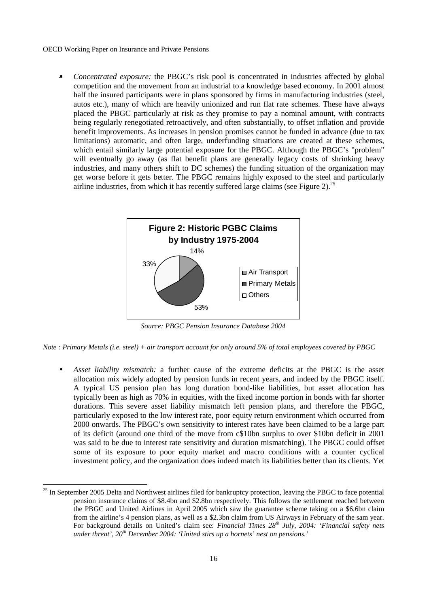$\overline{a}$ 

• *Concentrated exposure:* the PBGC's risk pool is concentrated in industries affected by global competition and the movement from an industrial to a knowledge based economy. In 2001 almost half the insured participants were in plans sponsored by firms in manufacturing industries (steel, autos etc.), many of which are heavily unionized and run flat rate schemes. These have always placed the PBGC particularly at risk as they promise to pay a nominal amount, with contracts being regularly renegotiated retroactively, and often substantially, to offset inflation and provide benefit improvements. As increases in pension promises cannot be funded in advance (due to tax limitations) automatic, and often large, underfunding situations are created at these schemes, which entail similarly large potential exposure for the PBGC. Although the PBGC's "problem" will eventually go away (as flat benefit plans are generally legacy costs of shrinking heavy industries, and many others shift to DC schemes) the funding situation of the organization may get worse before it gets better. The PBGC remains highly exposed to the steel and particularly airline industries, from which it has recently suffered large claims (see Figure 2).<sup>25</sup>



*Source: PBGC Pension Insurance Database 2004* 

*Note : Primary Metals (i.e. steel) + air transport account for only around 5% of total employees covered by PBGC* 

• *Asset liability mismatch:* a further cause of the extreme deficits at the PBGC is the asset allocation mix widely adopted by pension funds in recent years, and indeed by the PBGC itself. A typical US pension plan has long duration bond-like liabilities, but asset allocation has typically been as high as 70% in equities, with the fixed income portion in bonds with far shorter durations. This severe asset liability mismatch left pension plans, and therefore the PBGC, particularly exposed to the low interest rate, poor equity return environment which occurred from 2000 onwards. The PBGC's own sensitivity to interest rates have been claimed to be a large part of its deficit (around one third of the move from c\$10bn surplus to over \$10bn deficit in 2001 was said to be due to interest rate sensitivity and duration mismatching). The PBGC could offset some of its exposure to poor equity market and macro conditions with a counter cyclical investment policy, and the organization does indeed match its liabilities better than its clients. Yet

 $25$  In September 2005 Delta and Northwest airlines filed for bankruptcy protection, leaving the PBGC to face potential pension insurance claims of \$8.4bn and \$2.8bn respectively. This follows the settlement reached between the PBGC and United Airlines in April 2005 which saw the guarantee scheme taking on a \$6.6bn claim from the airline's 4 pension plans, as well as a \$2.3bn claim from US Airways in February of the sam year. For background details on United's claim see: *Financial Times 28th July, 2004: 'Financial safety nets under threat', 20th December 2004: 'United stirs up a hornets' nest on pensions.'*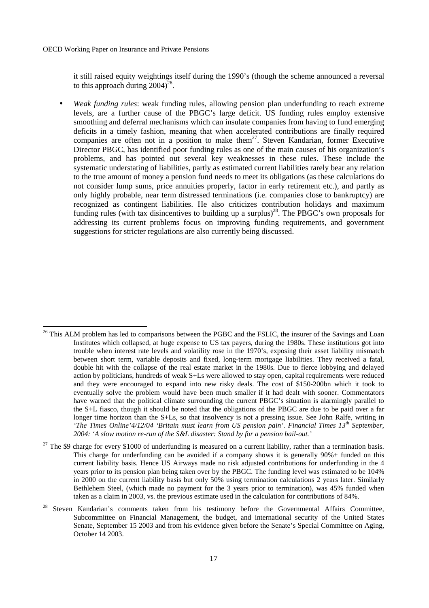it still raised equity weightings itself during the 1990's (though the scheme announced a reversal to this approach during  $2004$ <sup>26</sup>.

• *Weak funding rules*: weak funding rules, allowing pension plan underfunding to reach extreme levels, are a further cause of the PBGC's large deficit. US funding rules employ extensive smoothing and deferral mechanisms which can insulate companies from having to fund emerging deficits in a timely fashion, meaning that when accelerated contributions are finally required companies are often not in a position to make them<sup>27</sup>. Steven Kandarian, former Executive Director PBGC, has identified poor funding rules as one of the main causes of his organization's problems, and has pointed out several key weaknesses in these rules. These include the systematic understating of liabilities, partly as estimated current liabilities rarely bear any relation to the true amount of money a pension fund needs to meet its obligations (as these calculations do not consider lump sums, price annuities properly, factor in early retirement etc.), and partly as only highly probable, near term distressed terminations (i.e. companies close to bankruptcy) are recognized as contingent liabilities. He also criticizes contribution holidays and maximum funding rules (with tax disincentives to building up a surplus)<sup>28</sup>. The PBGC's own proposals for addressing its current problems focus on improving funding requirements, and government suggestions for stricter regulations are also currently being discussed.

 $\overline{a}$ <sup>26</sup> This ALM problem has led to comparisons between the PGBC and the FSLIC, the insurer of the Savings and Loan Institutes which collapsed, at huge expense to US tax payers, during the 1980s. These institutions got into trouble when interest rate levels and volatility rose in the 1970's, exposing their asset liability mismatch between short term, variable deposits and fixed, long-term mortgage liabilities. They received a fatal, double hit with the collapse of the real estate market in the 1980s*.* Due to fierce lobbying and delayed action by politicians, hundreds of weak S+Ls were allowed to stay open, capital requirements were reduced and they were encouraged to expand into new risky deals. The cost of \$150-200bn which it took to eventually solve the problem would have been much smaller if it had dealt with sooner. Commentators have warned that the political climate surrounding the current PBGC's situation is alarmingly parallel to the S+L fiasco, though it should be noted that the obligations of the PBGC are due to be paid over a far longer time horizon than the S+Ls, so that insolvency is not a pressing issue. See John Ralfe, writing in *'The Times Online'4/12/04 'Britain must learn from US pension pain'. Financial Times 13th September, 2004: 'A slow motion re-run of the S&L disaster: Stand by for a pension bail-out.'*

<sup>&</sup>lt;sup>27</sup> The \$9 charge for every \$1000 of underfunding is measured on a current liability, rather than a termination basis. This charge for underfunding can be avoided if a company shows it is generally 90%+ funded on this current liability basis. Hence US Airways made no risk adjusted contributions for underfunding in the 4 years prior to its pension plan being taken over by the PBGC. The funding level was estimated to be 104% in 2000 on the current liability basis but only 50% using termination calculations 2 years later. Similarly Bethlehem Steel, (which made no payment for the 3 years prior to termination), was 45% funded when taken as a claim in 2003, vs. the previous estimate used in the calculation for contributions of 84%.

<sup>&</sup>lt;sup>28</sup> Steven Kandarian's comments taken from his testimony before the Governmental Affairs Committee, Subcommittee on Financial Management, the budget, and international security of the United States Senate, September 15 2003 and from his evidence given before the Senate's Special Committee on Aging, October 14 2003.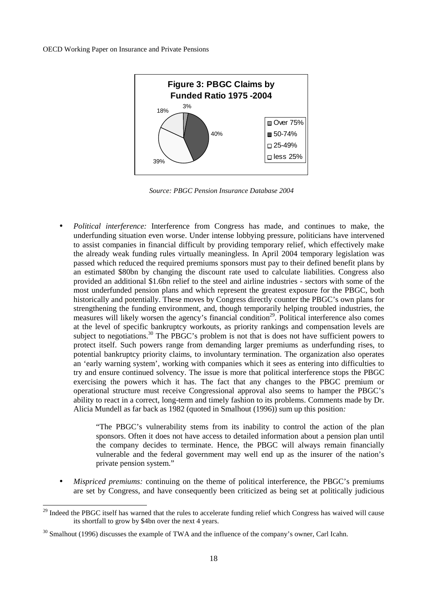

*Source: PBGC Pension Insurance Database 2004*

• *Political interference:* Interference from Congress has made, and continues to make, the underfunding situation even worse. Under intense lobbying pressure, politicians have intervened to assist companies in financial difficult by providing temporary relief, which effectively make the already weak funding rules virtually meaningless. In April 2004 temporary legislation was passed which reduced the required premiums sponsors must pay to their defined benefit plans by an estimated \$80bn by changing the discount rate used to calculate liabilities. Congress also provided an additional \$1.6bn relief to the steel and airline industries - sectors with some of the most underfunded pension plans and which represent the greatest exposure for the PBGC, both historically and potentially. These moves by Congress directly counter the PBGC's own plans for strengthening the funding environment, and, though temporarily helping troubled industries, the measures will likely worsen the agency's financial condition<sup>29</sup>. Political interference also comes at the level of specific bankruptcy workouts, as priority rankings and compensation levels are subject to negotiations.<sup>30</sup> The PBGC's problem is not that is does not have sufficient powers to protect itself. Such powers range from demanding larger premiums as underfunding rises, to potential bankruptcy priority claims, to involuntary termination. The organization also operates an 'early warning system', working with companies which it sees as entering into difficulties to try and ensure continued solvency. The issue is more that political interference stops the PBGC exercising the powers which it has. The fact that any changes to the PBGC premium or operational structure must receive Congressional approval also seems to hamper the PBGC's ability to react in a correct, long-term and timely fashion to its problems. Comments made by Dr. Alicia Mundell as far back as 1982 (quoted in Smalhout (1996)) sum up this position*:*

> "The PBGC's vulnerability stems from its inability to control the action of the plan sponsors. Often it does not have access to detailed information about a pension plan until the company decides to terminate. Hence, the PBGC will always remain financially vulnerable and the federal government may well end up as the insurer of the nation's private pension system."

*Mispriced premiums:* continuing on the theme of political interference, the PBGC's premiums are set by Congress, and have consequently been criticized as being set at politically judicious

 $\overline{a}$ 

 $29$  Indeed the PBGC itself has warned that the rules to accelerate funding relief which Congress has waived will cause its shortfall to grow by \$4bn over the next 4 years.

 $30$  Smalhout (1996) discusses the example of TWA and the influence of the company's owner, Carl Icahn.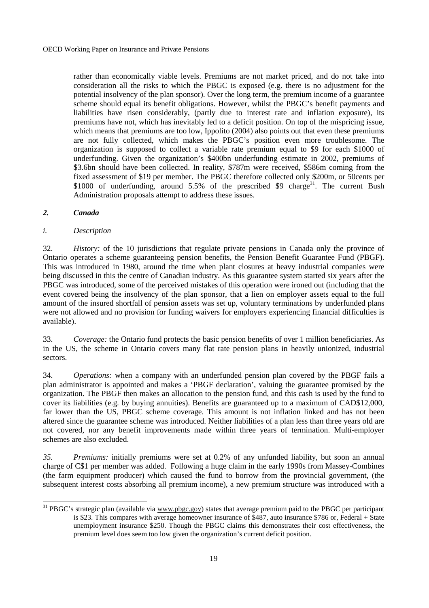rather than economically viable levels. Premiums are not market priced, and do not take into consideration all the risks to which the PBGC is exposed (e.g. there is no adjustment for the potential insolvency of the plan sponsor). Over the long term, the premium income of a guarantee scheme should equal its benefit obligations. However, whilst the PBGC's benefit payments and liabilities have risen considerably, (partly due to interest rate and inflation exposure), its premiums have not, which has inevitably led to a deficit position. On top of the mispricing issue, which means that premiums are too low, Ippolito (2004) also points out that even these premiums are not fully collected, which makes the PBGC's position even more troublesome. The organization is supposed to collect a variable rate premium equal to \$9 for each \$1000 of underfunding. Given the organization's \$400bn underfunding estimate in 2002, premiums of \$3.6bn should have been collected. In reality, \$787m were received, \$586m coming from the fixed assessment of \$19 per member. The PBGC therefore collected only \$200m, or 50cents per \$1000 of underfunding, around 5.5% of the prescribed \$9 charge<sup>31</sup>. The current Bush Administration proposals attempt to address these issues.

## *2. Canada*

 $\overline{a}$ 

## *i. Description*

32. *History:* of the 10 jurisdictions that regulate private pensions in Canada only the province of Ontario operates a scheme guaranteeing pension benefits, the Pension Benefit Guarantee Fund (PBGF). This was introduced in 1980, around the time when plant closures at heavy industrial companies were being discussed in this the centre of Canadian industry. As this guarantee system started six years after the PBGC was introduced, some of the perceived mistakes of this operation were ironed out (including that the event covered being the insolvency of the plan sponsor, that a lien on employer assets equal to the full amount of the insured shortfall of pension assets was set up, voluntary terminations by underfunded plans were not allowed and no provision for funding waivers for employers experiencing financial difficulties is available).

33. *Coverage:* the Ontario fund protects the basic pension benefits of over 1 million beneficiaries. As in the US, the scheme in Ontario covers many flat rate pension plans in heavily unionized, industrial sectors.

34. *Operations:* when a company with an underfunded pension plan covered by the PBGF fails a plan administrator is appointed and makes a 'PBGF declaration', valuing the guarantee promised by the organization. The PBGF then makes an allocation to the pension fund, and this cash is used by the fund to cover its liabilities (e.g. by buying annuities). Benefits are guaranteed up to a maximum of CAD\$12,000, far lower than the US, PBGC scheme coverage. This amount is not inflation linked and has not been altered since the guarantee scheme was introduced. Neither liabilities of a plan less than three years old are not covered, nor any benefit improvements made within three years of termination. Multi-employer schemes are also excluded.

*35. Premiums:* initially premiums were set at 0.2% of any unfunded liability, but soon an annual charge of C\$1 per member was added. Following a huge claim in the early 1990s from Massey-Combines (the farm equipment producer) which caused the fund to borrow from the provincial government, (the subsequent interest costs absorbing all premium income), a new premium structure was introduced with a

<sup>&</sup>lt;sup>31</sup> PBGC's strategic plan (available via www.pbgc.gov) states that average premium paid to the PBGC per participant is \$23. This compares with average homeowner insurance of \$487, auto insurance \$786 or, Federal + State unemployment insurance \$250. Though the PBGC claims this demonstrates their cost effectiveness, the premium level does seem too low given the organization's current deficit position.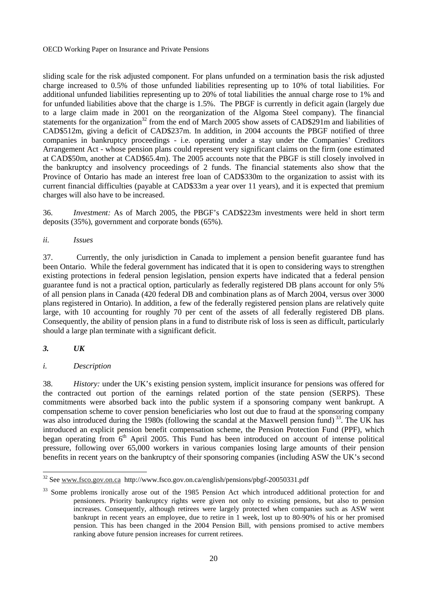sliding scale for the risk adjusted component. For plans unfunded on a termination basis the risk adjusted charge increased to 0.5% of those unfunded liabilities representing up to 10% of total liabilities. For additional unfunded liabilities representing up to 20% of total liabilities the annual charge rose to 1% and for unfunded liabilities above that the charge is 1.5%. The PBGF is currently in deficit again (largely due to a large claim made in 2001 on the reorganization of the Algoma Steel company). The financial statements for the organization<sup>32</sup> from the end of March 2005 show assets of CAD\$291m and liabilities of CAD\$512m, giving a deficit of CAD\$237m. In addition, in 2004 accounts the PBGF notified of three companies in bankruptcy proceedings - i.e. operating under a stay under the Companies' Creditors Arrangement Act - whose pension plans could represent very significant claims on the firm (one estimated at CAD\$50m, another at CAD\$65.4m). The 2005 accounts note that the PBGF is still closely involved in the bankruptcy and insolvency proceedings of 2 funds. The financial statements also show that the Province of Ontario has made an interest free loan of CAD\$330m to the organization to assist with its current financial difficulties (payable at CAD\$33m a year over 11 years), and it is expected that premium charges will also have to be increased.

36. *Investment:* As of March 2005, the PBGF's CAD\$223m investments were held in short term deposits (35%), government and corporate bonds (65%).

## *ii. Issues*

37. Currently, the only jurisdiction in Canada to implement a pension benefit guarantee fund has been Ontario. While the federal government has indicated that it is open to considering ways to strengthen existing protections in federal pension legislation, pension experts have indicated that a federal pension guarantee fund is not a practical option, particularly as federally registered DB plans account for only 5% of all pension plans in Canada (420 federal DB and combination plans as of March 2004, versus over 3000 plans registered in Ontario). In addition, a few of the federally registered pension plans are relatively quite large, with 10 accounting for roughly 70 per cent of the assets of all federally registered DB plans. Consequently, the ability of pension plans in a fund to distribute risk of loss is seen as difficult, particularly should a large plan terminate with a significant deficit.

## *3. UK*

 $\overline{a}$ 

## *i. Description*

38. *History:* under the UK's existing pension system, implicit insurance for pensions was offered for the contracted out portion of the earnings related portion of the state pension (SERPS). These commitments were absorbed back into the public system if a sponsoring company went bankrupt. A compensation scheme to cover pension beneficiaries who lost out due to fraud at the sponsoring company was also introduced during the 1980s (following the scandal at the Maxwell pension fund)<sup>33</sup>. The UK has introduced an explicit pension benefit compensation scheme, the Pension Protection Fund (PPF), which began operating from  $6<sup>th</sup>$  April 2005. This Fund has been introduced on account of intense political pressure, following over 65,000 workers in various companies losing large amounts of their pension benefits in recent years on the bankruptcy of their sponsoring companies (including ASW the UK's second

<sup>&</sup>lt;sup>32</sup> See www.fsco.gov.on.ca http://www.fsco.gov.on.ca/english/pensions/pbgf-20050331.pdf

<sup>&</sup>lt;sup>33</sup> Some problems ironically arose out of the 1985 Pension Act which introduced additional protection for and pensioners. Priority bankruptcy rights were given not only to existing pensions, but also to pension increases. Consequently, although retirees were largely protected when companies such as ASW went bankrupt in recent years an employee, due to retire in 1 week, lost up to 80-90% of his or her promised pension. This has been changed in the 2004 Pension Bill, with pensions promised to active members ranking above future pension increases for current retirees.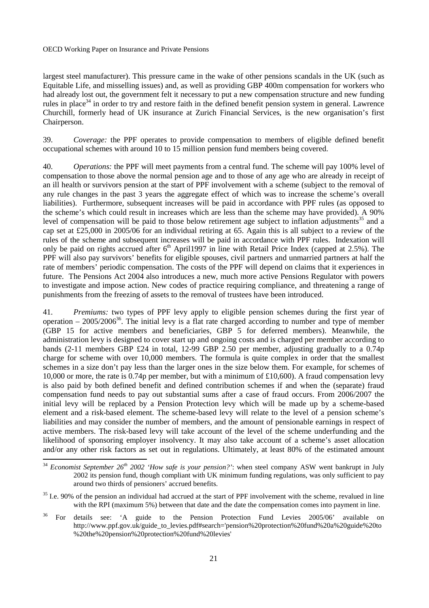$\overline{a}$ 

largest steel manufacturer). This pressure came in the wake of other pensions scandals in the UK (such as Equitable Life, and misselling issues) and, as well as providing GBP 400m compensation for workers who had already lost out, the government felt it necessary to put a new compensation structure and new funding rules in place<sup>34</sup> in order to try and restore faith in the defined benefit pension system in general. Lawrence Churchill, formerly head of UK insurance at Zurich Financial Services, is the new organisation's first Chairperson.

39. *Coverage:* the PPF operates to provide compensation to members of eligible defined benefit occupational schemes with around 10 to 15 million pension fund members being covered.

40. *Operations:* the PPF will meet payments from a central fund. The scheme will pay 100% level of compensation to those above the normal pension age and to those of any age who are already in receipt of an ill health or survivors pension at the start of PPF involvement with a scheme (subject to the removal of any rule changes in the past 3 years the aggregate effect of which was to increase the scheme's overall liabilities). Furthermore, subsequent increases will be paid in accordance with PPF rules (as opposed to the scheme's which could result in increases which are less than the scheme may have provided). A 90% level of compensation will be paid to those below retirement age subject to inflation adjustments<sup>35</sup> and a cap set at £25,000 in 2005/06 for an individual retiring at 65. Again this is all subject to a review of the rules of the scheme and subsequent increases will be paid in accordance with PPF rules. Indexation will only be paid on rights accrued after  $6<sup>th</sup>$  April1997 in line with Retail Price Index (capped at 2.5%). The PPF will also pay survivors' benefits for eligible spouses, civil partners and unmarried partners at half the rate of members' periodic compensation. The costs of the PPF will depend on claims that it experiences in future. The Pensions Act 2004 also introduces a new, much more active Pensions Regulator with powers to investigate and impose action. New codes of practice requiring compliance, and threatening a range of punishments from the freezing of assets to the removal of trustees have been introduced.

41. *Premiums:* two types of PPF levy apply to eligible pension schemes during the first year of operation –  $2005/2006^{36}$ . The initial levy is a flat rate charged according to number and type of member (GBP 15 for active members and beneficiaries, GBP 5 for deferred members). Meanwhile, the administration levy is designed to cover start up and ongoing costs and is charged per member according to bands (2-11 members GBP £24 in total, 12-99 GBP 2.50 per member, adjusting gradually to a 0.74p charge for scheme with over 10,000 members. The formula is quite complex in order that the smallest schemes in a size don't pay less than the larger ones in the size below them. For example, for schemes of 10,000 or more, the rate is 0.74p per member, but with a minimum of £10,600). A fraud compensation levy is also paid by both defined benefit and defined contribution schemes if and when the (separate) fraud compensation fund needs to pay out substantial sums after a case of fraud occurs. From 2006/2007 the initial levy will be replaced by a Pension Protection levy which will be made up by a scheme-based element and a risk-based element. The scheme-based levy will relate to the level of a pension scheme's liabilities and may consider the number of members, and the amount of pensionable earnings in respect of active members. The risk-based levy will take account of the level of the scheme underfunding and the likelihood of sponsoring employer insolvency. It may also take account of a scheme's asset allocation and/or any other risk factors as set out in regulations. Ultimately, at least 80% of the estimated amount

<sup>34</sup> *Economist September 26th 2002 'How safe is your pension?'*: when steel company ASW went bankrupt in July 2002 its pension fund, though compliant with UK minimum funding regulations, was only sufficient to pay around two thirds of pensioners' accrued benefits.

 $35$  I.e. 90% of the pension an individual had accrued at the start of PPF involvement with the scheme, revalued in line with the RPI (maximum 5%) between that date and the date the compensation comes into payment in line.

<sup>&</sup>lt;sup>36</sup> For details see: 'A guide to the Pension Protection Fund Levies 2005/06' available on http://www.ppf.gov.uk/guide\_to\_levies.pdf#search='pension%20protection%20fund%20a%20guide%20to %20the%20pension%20protection%20fund%20levies'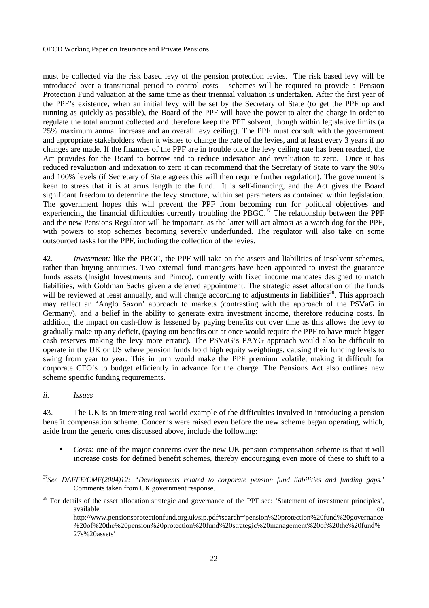must be collected via the risk based levy of the pension protection levies. The risk based levy will be introduced over a transitional period to control costs – schemes will be required to provide a Pension Protection Fund valuation at the same time as their triennial valuation is undertaken. After the first year of the PPF's existence, when an initial levy will be set by the Secretary of State (to get the PPF up and running as quickly as possible), the Board of the PPF will have the power to alter the charge in order to regulate the total amount collected and therefore keep the PPF solvent, though within legislative limits (a 25% maximum annual increase and an overall levy ceiling). The PPF must consult with the government and appropriate stakeholders when it wishes to change the rate of the levies, and at least every 3 years if no changes are made. If the finances of the PPF are in trouble once the levy ceiling rate has been reached, the Act provides for the Board to borrow and to reduce indexation and revaluation to zero. Once it has reduced revaluation and indexation to zero it can recommend that the Secretary of State to vary the 90% and 100% levels (if Secretary of State agrees this will then require further regulation). The government is keen to stress that it is at arms length to the fund. It is self-financing, and the Act gives the Board significant freedom to determine the levy structure, within set parameters as contained within legislation. The government hopes this will prevent the PPF from becoming run for political objectives and experiencing the financial difficulties currently troubling the PBGC. $37$  The relationship between the PPF and the new Pensions Regulator will be important, as the latter will act almost as a watch dog for the PPF, with powers to stop schemes becoming severely underfunded. The regulator will also take on some outsourced tasks for the PPF, including the collection of the levies.

42. *Investment:* like the PBGC, the PPF will take on the assets and liabilities of insolvent schemes, rather than buying annuities. Two external fund managers have been appointed to invest the guarantee funds assets (Insight Investments and Pimco), currently with fixed income mandates designed to match liabilities, with Goldman Sachs given a deferred appointment. The strategic asset allocation of the funds will be reviewed at least annually, and will change according to adjustments in liabilities<sup>38</sup>. This approach may reflect an 'Anglo Saxon' approach to markets (contrasting with the approach of the PSVaG in Germany), and a belief in the ability to generate extra investment income, therefore reducing costs. In addition, the impact on cash-flow is lessened by paying benefits out over time as this allows the levy to gradually make up any deficit, (paying out benefits out at once would require the PPF to have much bigger cash reserves making the levy more erratic). The PSVaG's PAYG approach would also be difficult to operate in the UK or US where pension funds hold high equity weightings, causing their funding levels to swing from year to year. This in turn would make the PPF premium volatile, making it difficult for corporate CFO's to budget efficiently in advance for the charge. The Pensions Act also outlines new scheme specific funding requirements.

#### *ii. Issues*

 $\overline{a}$ 

43. The UK is an interesting real world example of the difficulties involved in introducing a pension benefit compensation scheme. Concerns were raised even before the new scheme began operating, which, aside from the generic ones discussed above, include the following:

• *Costs*: one of the major concerns over the new UK pension compensation scheme is that it will increase costs for defined benefit schemes, thereby encouraging even more of these to shift to a

<sup>37</sup>*See DAFFE/CMF(2004)12: "Developments related to corporate pension fund liabilities and funding gaps.'* Comments taken from UK government response.

<sup>&</sup>lt;sup>38</sup> For details of the asset allocation strategic and governance of the PPF see: 'Statement of investment principles', available **on** on the contract of the contract of the contract of the contract of the contract on on on the contract of the contract of the contract of the contract of the contract of the contract of the contract of the co

http://www.pensionsprotectionfund.org.uk/sip.pdf#search='pension%20protection%20fund%20governance %20of%20the%20pension%20protection%20fund%20strategic%20management%20of%20the%20fund% 27s%20assets'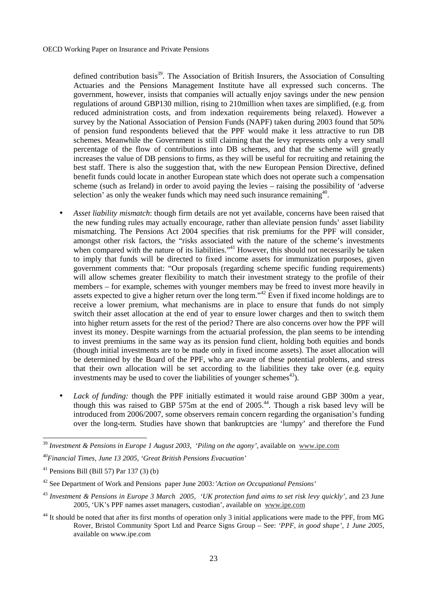defined contribution basis<sup>39</sup>. The Association of British Insurers, the Association of Consulting Actuaries and the Pensions Management Institute have all expressed such concerns. The government, however, insists that companies will actually enjoy savings under the new pension regulations of around GBP130 million, rising to 210million when taxes are simplified, (e.g. from reduced administration costs, and from indexation requirements being relaxed). However a survey by the National Association of Pension Funds (NAPF) taken during 2003 found that 50% of pension fund respondents believed that the PPF would make it less attractive to run DB schemes. Meanwhile the Government is still claiming that the levy represents only a very small percentage of the flow of contributions into DB schemes, and that the scheme will greatly increases the value of DB pensions to firms, as they will be useful for recruiting and retaining the best staff. There is also the suggestion that, with the new European Pension Directive, defined benefit funds could locate in another European state which does not operate such a compensation scheme (such as Ireland) in order to avoid paying the levies – raising the possibility of 'adverse selection' as only the weaker funds which may need such insurance remaining<sup>40</sup>.

- *Asset liability mismatch*: though firm details are not yet available, concerns have been raised that the new funding rules may actually encourage, rather than alleviate pension funds' asset liability mismatching. The Pensions Act 2004 specifies that risk premiums for the PPF will consider, amongst other risk factors, the "risks associated with the nature of the scheme's investments when compared with the nature of its liabilities."<sup>41</sup> However, this should not necessarily be taken to imply that funds will be directed to fixed income assets for immunization purposes, given government comments that: "Our proposals (regarding scheme specific funding requirements) will allow schemes greater flexibility to match their investment strategy to the profile of their members – for example, schemes with younger members may be freed to invest more heavily in assets expected to give a higher return over the long term."42 Even if fixed income holdings are to receive a lower premium, what mechanisms are in place to ensure that funds do not simply switch their asset allocation at the end of year to ensure lower charges and then to switch them into higher return assets for the rest of the period? There are also concerns over how the PPF will invest its money. Despite warnings from the actuarial profession, the plan seems to be intending to invest premiums in the same way as its pension fund client, holding both equities and bonds (though initial investments are to be made only in fixed income assets). The asset allocation will be determined by the Board of the PPF, who are aware of these potential problems, and stress that their own allocation will be set according to the liabilities they take over (e.g. equity investments may be used to cover the liabilities of younger schemes<sup>43</sup>).
- *Lack of funding:* though the PPF initially estimated it would raise around GBP 300m a year, though this was raised to GBP 575m at the end of 2005.<sup>44</sup>. Though a risk based levy will be introduced from 2006/2007, some observers remain concern regarding the organisation's funding over the long-term. Studies have shown that bankruptcies are 'lumpy' and therefore the Fund

 $\overline{a}$ 

<sup>&</sup>lt;sup>39</sup> Investment & Pensions in Europe 1 August 2003, 'Piling on the agony', available on www.ipe.com

<sup>40</sup>*Financial Times, June 13 2005, 'Great British Pensions Evacuation'*

 $41$  Pensions Bill (Bill 57) Par 137 (3) (b)

<sup>42</sup> See Department of Work and Pensions paper June 2003*:'Action on Occupational Pensions'*

<sup>43</sup> *Investment & Pensions in Europe 3 March 2005, 'UK protection fund aims to set risk levy quickly'*, and 23 June 2005, 'UK's PPF names asset managers, custodian', available on www.ipe.com

<sup>&</sup>lt;sup>44</sup> It should be noted that after its first months of operation only 3 initial applications were made to the PPF, from MG Rover, Bristol Community Sport Ltd and Pearce Signs Group – See: *'PPF, in good shape', 1 June 2005*, available on www.ipe.com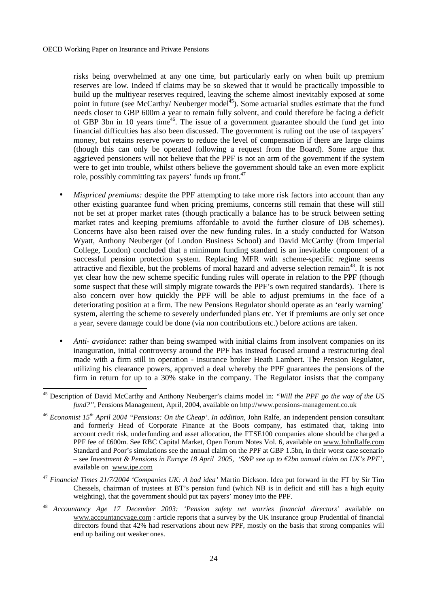$\overline{a}$ 

risks being overwhelmed at any one time, but particularly early on when built up premium reserves are low. Indeed if claims may be so skewed that it would be practically impossible to build up the multiyear reserves required, leaving the scheme almost inevitably exposed at some point in future (see McCarthy/ Neuberger model<sup>45</sup>). Some actuarial studies estimate that the fund needs closer to GBP 600m a year to remain fully solvent, and could therefore be facing a deficit of GBP 3bn in 10 years time<sup>46</sup>. The issue of a government guarantee should the fund get into financial difficulties has also been discussed. The government is ruling out the use of taxpayers' money, but retains reserve powers to reduce the level of compensation if there are large claims (though this can only be operated following a request from the Board). Some argue that aggrieved pensioners will not believe that the PPF is not an arm of the government if the system were to get into trouble, whilst others believe the government should take an even more explicit role, possibly committing tax payers' funds up front.<sup>47</sup>

- *Mispriced premiums:* despite the PPF attempting to take more risk factors into account than any other existing guarantee fund when pricing premiums, concerns still remain that these will still not be set at proper market rates (though practically a balance has to be struck between setting market rates and keeping premiums affordable to avoid the further closure of DB schemes). Concerns have also been raised over the new funding rules. In a study conducted for Watson Wyatt, Anthony Neuberger (of London Business School) and David McCarthy (from Imperial College, London) concluded that a minimum funding standard is an inevitable component of a successful pension protection system. Replacing MFR with scheme-specific regime seems attractive and flexible, but the problems of moral hazard and adverse selection remain<sup>48</sup>. It is not yet clear how the new scheme specific funding rules will operate in relation to the PPF (though some suspect that these will simply migrate towards the PPF's own required standards). There is also concern over how quickly the PPF will be able to adjust premiums in the face of a deteriorating position at a firm. The new Pensions Regulator should operate as an 'early warning' system, alerting the scheme to severely underfunded plans etc. Yet if premiums are only set once a year, severe damage could be done (via non contributions etc.) before actions are taken.
- *Anti- avoidance*: rather than being swamped with initial claims from insolvent companies on its inauguration, initial controversy around the PPF has instead focused around a restructuring deal made with a firm still in operation - insurance broker Heath Lambert. The Pension Regulator, utilizing his clearance powers, approved a deal whereby the PPF guarantees the pensions of the firm in return for up to a 30% stake in the company. The Regulator insists that the company

- <sup>47</sup> *Financial Times 21/7/2004 'Companies UK: A bad idea'* Martin Dickson. Idea put forward in the FT by Sir Tim Chessels, chairman of trustees at BT's pension fund (which NB is in deficit and still has a high equity weighting), that the government should put tax payers' money into the PPF.
- <sup>48</sup> *Accountancy Age 17 December 2003: 'Pension safety net worries financial directors'* available on www.accountancyage.com : article reports that a survey by the UK insurance group Prudential of financial directors found that 42% had reservations about new PPF, mostly on the basis that strong companies will end up bailing out weaker ones.

<sup>45</sup> Description of David McCarthy and Anthony Neuberger's claims model in: *"Will the PPF go the way of the US fund?",* Pensions Management, April, 2004, available on http://www.pensions-management.co.uk

<sup>46</sup> *Economist 15th April 2004 "Pensions: On the Cheap'. In addition*, John Ralfe, an independent pension consultant and formerly Head of Corporate Finance at the Boots company, has estimated that, taking into account credit risk, underfunding and asset allocation, the FTSE100 companies alone should be charged a PPF fee of £600m. See RBC Capital Market, Open Forum Notes Vol. 6, available on www.JohnRalfe.com Standard and Poor's simulations see the annual claim on the PPF at GBP 1.5bn, in their worst case scenario – see *Investment & Pensions in Europe 18 April 2005, 'S&P see up to* €*2bn annual claim on UK's PPF'*, available on www.ipe.com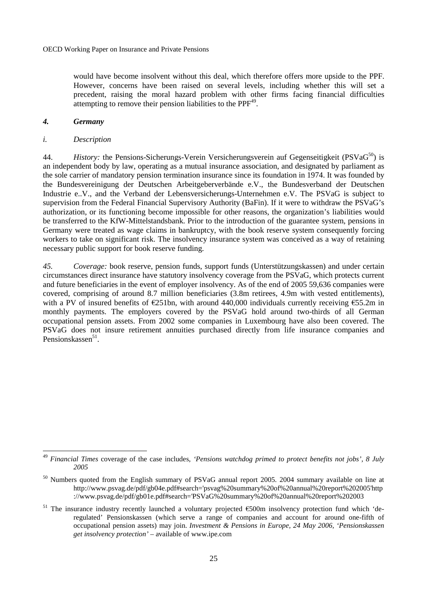would have become insolvent without this deal, which therefore offers more upside to the PPF. However, concerns have been raised on several levels, including whether this will set a precedent, raising the moral hazard problem with other firms facing financial difficulties attempting to remove their pension liabilities to the  $PPF<sup>49</sup>$ .

## *4. Germany*

 $\overline{a}$ 

## *i. Description*

44. *History:* the Pensions-Sicherungs-Verein Versicherungsverein auf Gegenseitigkeit (PSVaG<sup>50</sup>) is an independent body by law, operating as a mutual insurance association, and designated by parliament as the sole carrier of mandatory pension termination insurance since its foundation in 1974. It was founded by the Bundesvereinigung der Deutschen Arbeitgeberverbände e.V., the Bundesverband der Deutschen Industrie e..V., and the Verband der Lebensversicherungs-Unternehmen e.V. The PSVaG is subject to supervision from the Federal Financial Supervisory Authority (BaFin). If it were to withdraw the PSVaG's authorization, or its functioning become impossible for other reasons, the organization's liabilities would be transferred to the KfW-Mittelstandsbank. Prior to the introduction of the guarantee system, pensions in Germany were treated as wage claims in bankruptcy, with the book reserve system consequently forcing workers to take on significant risk. The insolvency insurance system was conceived as a way of retaining necessary public support for book reserve funding.

*45. Coverage:* book reserve, pension funds, support funds (Unterstützungskassen) and under certain circumstances direct insurance have statutory insolvency coverage from the PSVaG, which protects current and future beneficiaries in the event of employer insolvency. As of the end of 2005 59,636 companies were covered, comprising of around 8.7 million beneficiaries (3.8m retirees, 4.9m with vested entitlements), with a PV of insured benefits of €251bn, with around 440,000 individuals currently receiving €55.2m in monthly payments. The employers covered by the PSVaG hold around two-thirds of all German occupational pension assets. From 2002 some companies in Luxembourg have also been covered. The PSVaG does not insure retirement annuities purchased directly from life insurance companies and Pensionskassen $51$ .

<sup>49</sup> *Financial Times* coverage of the case includes, *'Pensions watchdog primed to protect benefits not jobs', 8 July 2005*

<sup>&</sup>lt;sup>50</sup> Numbers quoted from the English summary of PSVaG annual report 2005. 2004 summary available on line at http://www.psvag.de/pdf/gb04e.pdf#search='psvag%20summary%20of%20annual%20report%202005'http ://www.psvag.de/pdf/gb01e.pdf#search='PSVaG%20summary%20of%20annual%20report%202003

<sup>51</sup> The insurance industry recently launched a voluntary projected €500m insolvency protection fund which 'deregulated' Pensionskassen (which serve a range of companies and account for around one-fifth of occupational pension assets) may join. *Investment & Pensions in Europe, 24 May 2006, 'Pensionskassen get insolvency protection'* – available of www.ipe.com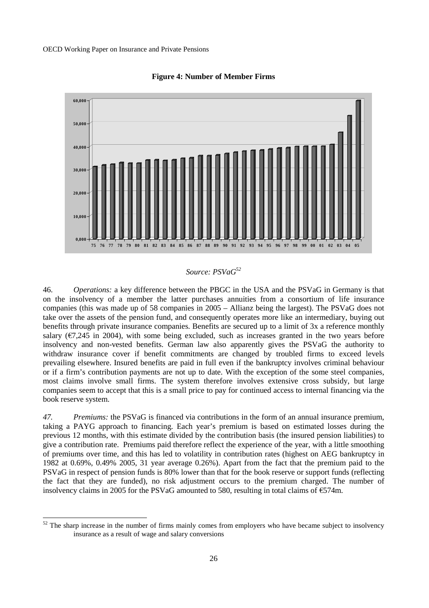

**Figure 4: Number of Member Firms** 

## *Source: PSVaG52*

46. *Operations:* a key difference between the PBGC in the USA and the PSVaG in Germany is that on the insolvency of a member the latter purchases annuities from a consortium of life insurance companies (this was made up of 58 companies in 2005 – Allianz being the largest). The PSVaG does not take over the assets of the pension fund, and consequently operates more like an intermediary, buying out benefits through private insurance companies. Benefits are secured up to a limit of 3x a reference monthly salary ( $\epsilon$ 7,245 in 2004), with some being excluded, such as increases granted in the two years before insolvency and non-vested benefits. German law also apparently gives the PSVaG the authority to withdraw insurance cover if benefit commitments are changed by troubled firms to exceed levels prevailing elsewhere. Insured benefits are paid in full even if the bankruptcy involves criminal behaviour or if a firm's contribution payments are not up to date. With the exception of the some steel companies, most claims involve small firms. The system therefore involves extensive cross subsidy, but large companies seem to accept that this is a small price to pay for continued access to internal financing via the book reserve system.

*47. Premiums:* the PSVaG is financed via contributions in the form of an annual insurance premium, taking a PAYG approach to financing. Each year's premium is based on estimated losses during the previous 12 months, with this estimate divided by the contribution basis (the insured pension liabilities) to give a contribution rate. Premiums paid therefore reflect the experience of the year, with a little smoothing of premiums over time, and this has led to volatility in contribution rates (highest on AEG bankruptcy in 1982 at 0.69%, 0.49% 2005, 31 year average 0.26%). Apart from the fact that the premium paid to the PSVaG in respect of pension funds is 80% lower than that for the book reserve or support funds (reflecting the fact that they are funded), no risk adjustment occurs to the premium charged. The number of insolvency claims in 2005 for the PSVaG amounted to 580, resulting in total claims of €574m.

 $52$  The sharp increase in the number of firms mainly comes from employers who have became subject to insolvency insurance as a result of wage and salary conversions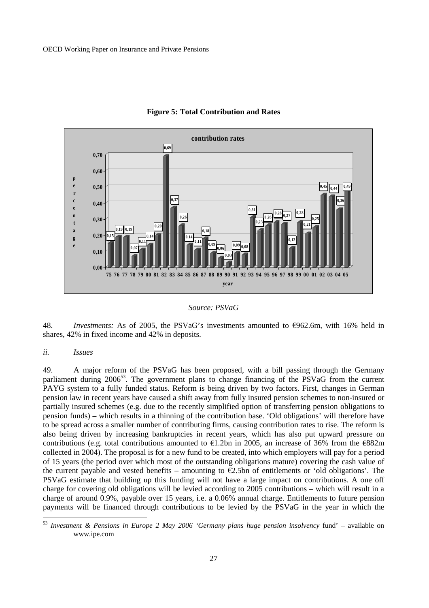

**Figure 5: Total Contribution and Rates** 

48. *Investments:* As of 2005, the PSVaG's investments amounted to €962.6m, with 16% held in shares, 42% in fixed income and 42% in deposits.

## *ii. Issues*

49. A major reform of the PSVaG has been proposed, with a bill passing through the Germany parliament during  $2006^{53}$ . The government plans to change financing of the PSVaG from the current PAYG system to a fully funded status. Reform is being driven by two factors. First, changes in German pension law in recent years have caused a shift away from fully insured pension schemes to non-insured or partially insured schemes (e.g. due to the recently simplified option of transferring pension obligations to pension funds) – which results in a thinning of the contribution base. 'Old obligations' will therefore have to be spread across a smaller number of contributing firms, causing contribution rates to rise. The reform is also being driven by increasing bankruptcies in recent years, which has also put upward pressure on contributions (e.g. total contributions amounted to  $E1.2$ bn in 2005, an increase of 36% from the  $E882m$ collected in 2004). The proposal is for a new fund to be created, into which employers will pay for a period of 15 years (the period over which most of the outstanding obligations mature) covering the cash value of the current payable and vested benefits – amounting to  $E2.5$ bn of entitlements or 'old obligations'. The PSVaG estimate that building up this funding will not have a large impact on contributions. A one off charge for covering old obligations will be levied according to 2005 contributions – which will result in a charge of around 0.9%, payable over 15 years, i.e. a 0.06% annual charge. Entitlements to future pension payments will be financed through contributions to be levied by the PSVaG in the year in which the

*Source: PSVaG* 

<sup>53</sup> *Investment & Pensions in Europe 2 May 2006 'Germany plans huge pension insolvency* fund' – available on www.ipe.com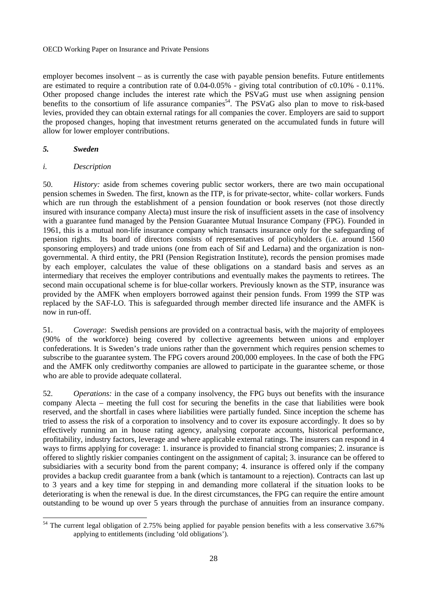employer becomes insolvent – as is currently the case with payable pension benefits. Future entitlements are estimated to require a contribution rate of 0.04-0.05% - giving total contribution of c0.10% - 0.11%. Other proposed change includes the interest rate which the PSVaG must use when assigning pension benefits to the consortium of life assurance companies<sup>54</sup>. The PSVaG also plan to move to risk-based levies, provided they can obtain external ratings for all companies the cover. Employers are said to support the proposed changes, hoping that investment returns generated on the accumulated funds in future will allow for lower employer contributions.

## *5. Sweden*

## *i. Description*

50. *History:* aside from schemes covering public sector workers, there are two main occupational pension schemes in Sweden. The first, known as the ITP, is for private-sector, white- collar workers. Funds which are run through the establishment of a pension foundation or book reserves (not those directly insured with insurance company Alecta) must insure the risk of insufficient assets in the case of insolvency with a guarantee fund managed by the Pension Guarantee Mutual Insurance Company (FPG). Founded in 1961, this is a mutual non-life insurance company which transacts insurance only for the safeguarding of pension rights. Its board of directors consists of representatives of policyholders (i.e. around 1560 sponsoring employers) and trade unions (one from each of Sif and Ledarna) and the organization is nongovernmental. A third entity, the PRI (Pension Registration Institute), records the pension promises made by each employer, calculates the value of these obligations on a standard basis and serves as an intermediary that receives the employer contributions and eventually makes the payments to retirees. The second main occupational scheme is for blue-collar workers. Previously known as the STP, insurance was provided by the AMFK when employers borrowed against their pension funds. From 1999 the STP was replaced by the SAF-LO. This is safeguarded through member directed life insurance and the AMFK is now in run-off.

51. *Coverage*: Swedish pensions are provided on a contractual basis, with the majority of employees (90% of the workforce) being covered by collective agreements between unions and employer confederations. It is Sweden's trade unions rather than the government which requires pension schemes to subscribe to the guarantee system. The FPG covers around 200,000 employees. In the case of both the FPG and the AMFK only creditworthy companies are allowed to participate in the guarantee scheme, or those who are able to provide adequate collateral.

52. *Operations:* in the case of a company insolvency, the FPG buys out benefits with the insurance company Alecta – meeting the full cost for securing the benefits in the case that liabilities were book reserved, and the shortfall in cases where liabilities were partially funded. Since inception the scheme has tried to assess the risk of a corporation to insolvency and to cover its exposure accordingly. It does so by effectively running an in house rating agency, analysing corporate accounts, historical performance, profitability, industry factors, leverage and where applicable external ratings. The insurers can respond in 4 ways to firms applying for coverage: 1. insurance is provided to financial strong companies; 2. insurance is offered to slightly riskier companies contingent on the assignment of capital; 3. insurance can be offered to subsidiaries with a security bond from the parent company; 4. insurance is offered only if the company provides a backup credit guarantee from a bank (which is tantamount to a rejection). Contracts can last up to 3 years and a key time for stepping in and demanding more collateral if the situation looks to be deteriorating is when the renewal is due. In the direst circumstances, the FPG can require the entire amount outstanding to be wound up over 5 years through the purchase of annuities from an insurance company.

  $54$  The current legal obligation of 2.75% being applied for payable pension benefits with a less conservative 3.67% applying to entitlements (including 'old obligations').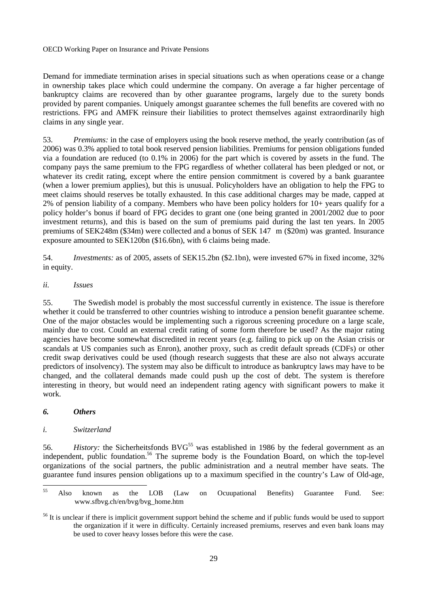Demand for immediate termination arises in special situations such as when operations cease or a change in ownership takes place which could undermine the company. On average a far higher percentage of bankruptcy claims are recovered than by other guarantee programs, largely due to the surety bonds provided by parent companies. Uniquely amongst guarantee schemes the full benefits are covered with no restrictions. FPG and AMFK reinsure their liabilities to protect themselves against extraordinarily high claims in any single year.

53. *Premiums:* in the case of employers using the book reserve method, the yearly contribution (as of 2006) was 0.3% applied to total book reserved pension liabilities. Premiums for pension obligations funded via a foundation are reduced (to 0.1% in 2006) for the part which is covered by assets in the fund. The company pays the same premium to the FPG regardless of whether collateral has been pledged or not, or whatever its credit rating, except where the entire pension commitment is covered by a bank guarantee (when a lower premium applies), but this is unusual. Policyholders have an obligation to help the FPG to meet claims should reserves be totally exhausted. In this case additional charges may be made, capped at 2% of pension liability of a company. Members who have been policy holders for 10+ years qualify for a policy holder's bonus if board of FPG decides to grant one (one being granted in 2001/2002 due to poor investment returns), and this is based on the sum of premiums paid during the last ten years. In 2005 premiums of SEK248m (\$34m) were collected and a bonus of SEK 147 m (\$20m) was granted. Insurance exposure amounted to SEK120bn (\$16.6bn), with 6 claims being made.

54. *Investments:* as of 2005, assets of SEK15.2bn (\$2.1bn), were invested 67% in fixed income, 32% in equity.

#### *ii. Issues*

55. The Swedish model is probably the most successful currently in existence. The issue is therefore whether it could be transferred to other countries wishing to introduce a pension benefit guarantee scheme. One of the major obstacles would be implementing such a rigorous screening procedure on a large scale, mainly due to cost. Could an external credit rating of some form therefore be used? As the major rating agencies have become somewhat discredited in recent years (e.g. failing to pick up on the Asian crisis or scandals at US companies such as Enron), another proxy, such as credit default spreads (CDFs) or other credit swap derivatives could be used (though research suggests that these are also not always accurate predictors of insolvency). The system may also be difficult to introduce as bankruptcy laws may have to be changed, and the collateral demands made could push up the cost of debt. The system is therefore interesting in theory, but would need an independent rating agency with significant powers to make it work.

#### *6. Others*

## *i. Switzerland*

56. *History:* the Sicherheitsfonds BVG<sup>55</sup> was established in 1986 by the federal government as an independent, public foundation.<sup>56</sup> The supreme body is the Foundation Board, on which the top-level organizations of the social partners, the public administration and a neutral member have seats. The guarantee fund insures pension obligations up to a maximum specified in the country's Law of Old-age,

<sup>55</sup> 55 Also known as the LOB (Law on Ocuupational Benefits) Guarantee Fund. See: www.sfbvg.ch/en/bvg/bvg\_home.htm

<sup>&</sup>lt;sup>56</sup> It is unclear if there is implicit government support behind the scheme and if public funds would be used to support the organization if it were in difficulty. Certainly increased premiums, reserves and even bank loans may be used to cover heavy losses before this were the case.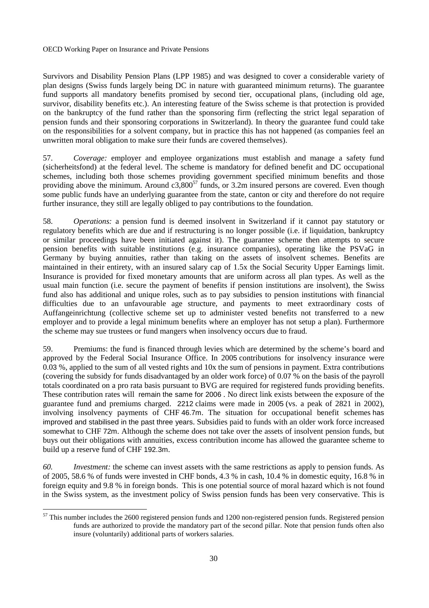Survivors and Disability Pension Plans (LPP 1985) and was designed to cover a considerable variety of plan designs (Swiss funds largely being DC in nature with guaranteed minimum returns). The guarantee fund supports all mandatory benefits promised by second tier, occupational plans, (including old age, survivor, disability benefits etc.). An interesting feature of the Swiss scheme is that protection is provided on the bankruptcy of the fund rather than the sponsoring firm (reflecting the strict legal separation of pension funds and their sponsoring corporations in Switzerland). In theory the guarantee fund could take on the responsibilities for a solvent company, but in practice this has not happened (as companies feel an unwritten moral obligation to make sure their funds are covered themselves).

57. *Coverage:* employer and employee organizations must establish and manage a safety fund (sicherheitsfond) at the federal level. The scheme is mandatory for defined benefit and DC occupational schemes, including both those schemes providing government specified minimum benefits and those providing above the minimum. Around  $c3,800^{57}$  funds, or 3.2m insured persons are covered. Even though some public funds have an underlying guarantee from the state, canton or city and therefore do not require further insurance, they still are legally obliged to pay contributions to the foundation.

58. *Operations:* a pension fund is deemed insolvent in Switzerland if it cannot pay statutory or regulatory benefits which are due and if restructuring is no longer possible (i.e. if liquidation, bankruptcy or similar proceedings have been initiated against it). The guarantee scheme then attempts to secure pension benefits with suitable institutions (e.g. insurance companies), operating like the PSVaG in Germany by buying annuities, rather than taking on the assets of insolvent schemes. Benefits are maintained in their entirety, with an insured salary cap of 1.5x the Social Security Upper Earnings limit. Insurance is provided for fixed monetary amounts that are uniform across all plan types. As well as the usual main function (i.e. secure the payment of benefits if pension institutions are insolvent), the Swiss fund also has additional and unique roles, such as to pay subsidies to pension institutions with financial difficulties due to an unfavourable age structure, and payments to meet extraordinary costs of Auffangeinrichtung (collective scheme set up to administer vested benefits not transferred to a new employer and to provide a legal minimum benefits where an employer has not setup a plan). Furthermore the scheme may sue trustees or fund mangers when insolvency occurs due to fraud.

59. Premiums: the fund is financed through levies which are determined by the scheme's board and approved by the Federal Social Insurance Office. In 2005 contributions for insolvency insurance were 0.03 %, applied to the sum of all vested rights and 10x the sum of pensions in payment. Extra contributions (covering the subsidy for funds disadvantaged by an older work force) of 0.07 % on the basis of the payroll totals coordinated on a pro rata basis pursuant to BVG are required for registered funds providing benefits. These contribution rates will remain the same for 2006 . No direct link exists between the exposure of the guarantee fund and premiums charged. 2212 claims were made in 2005 (vs. a peak of 2821 in 2002), involving insolvency payments of CHF 46.7m. The situation for occupational benefit schemes has improved and stabilised in the past three years. Subsidies paid to funds with an older work force increased somewhat to CHF 72m. Although the scheme does not take over the assets of insolvent pension funds, but buys out their obligations with annuities, excess contribution income has allowed the guarantee scheme to build up a reserve fund of CHF 192.3m.

*60. Investment:* the scheme can invest assets with the same restrictions as apply to pension funds. As of 2005, 58.6 % of funds were invested in CHF bonds, 4.3 % in cash, 10.4 % in domestic equity, 16.8 % in foreign equity and 9.8 % in foreign bonds. This is one potential source of moral hazard which is not found in the Swiss system, as the investment policy of Swiss pension funds has been very conservative. This is

 $\overline{a}$ 

 $57$  This number includes the 2600 registered pension funds and 1200 non-registered pension funds. Registered pension funds are authorized to provide the mandatory part of the second pillar. Note that pension funds often also insure (voluntarily) additional parts of workers salaries.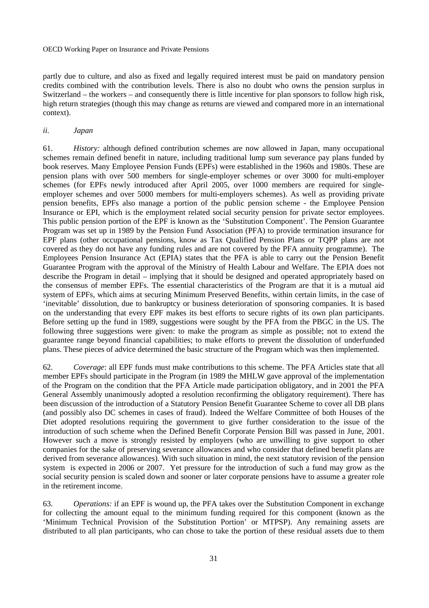partly due to culture, and also as fixed and legally required interest must be paid on mandatory pension credits combined with the contribution levels. There is also no doubt who owns the pension surplus in Switzerland – the workers – and consequently there is little incentive for plan sponsors to follow high risk, high return strategies (though this may change as returns are viewed and compared more in an international context).

#### *ii. Japan*

61. *History:* although defined contribution schemes are now allowed in Japan, many occupational schemes remain defined benefit in nature, including traditional lump sum severance pay plans funded by book reserves. Many Employee Pension Funds (EPFs) were established in the 1960s and 1980s. These are pension plans with over 500 members for single-employer schemes or over 3000 for multi-employer schemes (for EPFs newly introduced after April 2005, over 1000 members are required for singleemployer schemes and over 5000 members for multi-employers schemes). As well as providing private pension benefits, EPFs also manage a portion of the public pension scheme - the Employee Pension Insurance or EPI, which is the employment related social security pension for private sector employees. This public pension portion of the EPF is known as the 'Substitution Component'. The Pension Guarantee Program was set up in 1989 by the Pension Fund Association (PFA) to provide termination insurance for EPF plans (other occupational pensions, know as Tax Qualified Pension Plans or TQPP plans are not covered as they do not have any funding rules and are not covered by the PFA annuity programme). The Employees Pension Insurance Act (EPIA) states that the PFA is able to carry out the Pension Benefit Guarantee Program with the approval of the Ministry of Health Labour and Welfare. The EPIA does not describe the Program in detail – implying that it should be designed and operated appropriately based on the consensus of member EPFs. The essential characteristics of the Program are that it is a mutual aid system of EPFs, which aims at securing Minimum Preserved Benefits, within certain limits, in the case of 'inevitable' dissolution, due to bankruptcy or business deterioration of sponsoring companies. It is based on the understanding that every EPF makes its best efforts to secure rights of its own plan participants. Before setting up the fund in 1989, suggestions were sought by the PFA from the PBGC in the US. The following three suggestions were given: to make the program as simple as possible; not to extend the guarantee range beyond financial capabilities; to make efforts to prevent the dissolution of underfunded plans. These pieces of advice determined the basic structure of the Program which was then implemented.

62. *Coverage*: all EPF funds must make contributions to this scheme. The PFA Articles state that all member EPFs should participate in the Program (in 1989 the MHLW gave approval of the implementation of the Program on the condition that the PFA Article made participation obligatory, and in 2001 the PFA General Assembly unanimously adopted a resolution reconfirming the obligatory requirement). There has been discussion of the introduction of a Statutory Pension Benefit Guarantee Scheme to cover all DB plans (and possibly also DC schemes in cases of fraud). Indeed the Welfare Committee of both Houses of the Diet adopted resolutions requiring the government to give further consideration to the issue of the introduction of such scheme when the Defined Benefit Corporate Pension Bill was passed in June, 2001. However such a move is strongly resisted by employers (who are unwilling to give support to other companies for the sake of preserving severance allowances and who consider that defined benefit plans are derived from severance allowances). With such situation in mind, the next statutory revision of the pension system is expected in 2006 or 2007. Yet pressure for the introduction of such a fund may grow as the social security pension is scaled down and sooner or later corporate pensions have to assume a greater role in the retirement income.

63. *Operations:* if an EPF is wound up, the PFA takes over the Substitution Component in exchange for collecting the amount equal to the minimum funding required for this component (known as the 'Minimum Technical Provision of the Substitution Portion' or MTPSP). Any remaining assets are distributed to all plan participants, who can chose to take the portion of these residual assets due to them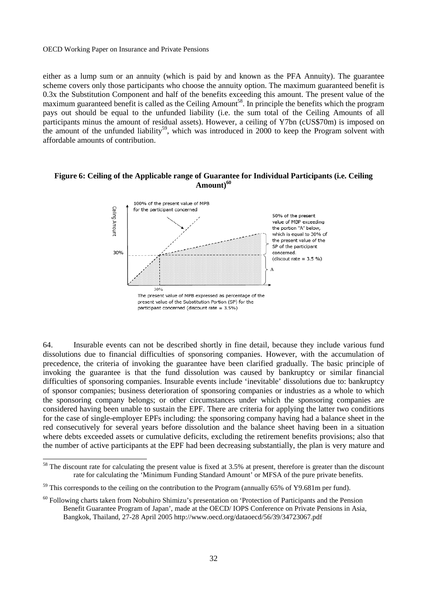either as a lump sum or an annuity (which is paid by and known as the PFA Annuity). The guarantee scheme covers only those participants who choose the annuity option. The maximum guaranteed benefit is 0.3x the Substitution Component and half of the benefits exceeding this amount. The present value of the maximum guaranteed benefit is called as the Ceiling Amount<sup>58</sup>. In principle the benefits which the program pays out should be equal to the unfunded liability (i.e. the sum total of the Ceiling Amounts of all participants minus the amount of residual assets). However, a ceiling of Y7bn (cUS\$70m) is imposed on the amount of the unfunded liability<sup>59</sup>, which was introduced in 2000 to keep the Program solvent with affordable amounts of contribution.

#### **Figure 6: Ceiling of the Applicable range of Guarantee for Individual Participants (i.e. Ceiling**  Amount<sup>160</sup>



64. Insurable events can not be described shortly in fine detail, because they include various fund dissolutions due to financial difficulties of sponsoring companies. However, with the accumulation of precedence, the criteria of invoking the guarantee have been clarified gradually. The basic principle of invoking the guarantee is that the fund dissolution was caused by bankruptcy or similar financial difficulties of sponsoring companies. Insurable events include 'inevitable' dissolutions due to: bankruptcy of sponsor companies; business deterioration of sponsoring companies or industries as a whole to which the sponsoring company belongs; or other circumstances under which the sponsoring companies are considered having been unable to sustain the EPF. There are criteria for applying the latter two conditions for the case of single-employer EPFs including: the sponsoring company having had a balance sheet in the red consecutively for several years before dissolution and the balance sheet having been in a situation where debts exceeded assets or cumulative deficits, excluding the retirement benefits provisions; also that the number of active participants at the EPF had been decreasing substantially, the plan is very mature and

 $\overline{a}$ 

 $58$  The discount rate for calculating the present value is fixed at 3.5% at present, therefore is greater than the discount rate for calculating the 'Minimum Funding Standard Amount' or MFSA of the pure private benefits.

 $^{59}$  This corresponds to the ceiling on the contribution to the Program (annually 65% of Y9.681m per fund).

<sup>&</sup>lt;sup>60</sup> Following charts taken from Nobuhiro Shimizu's presentation on 'Protection of Participants and the Pension Benefit Guarantee Program of Japan', made at the OECD/ IOPS Conference on Private Pensions in Asia, Bangkok, Thailand, 27-28 April 2005 http://www.oecd.org/dataoecd/56/39/34723067.pdf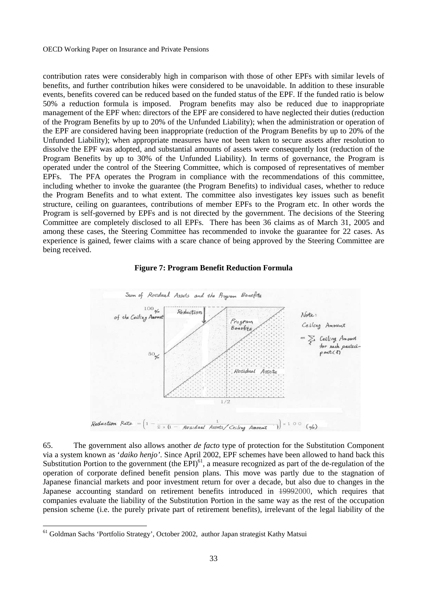contribution rates were considerably high in comparison with those of other EPFs with similar levels of benefits, and further contribution hikes were considered to be unavoidable. In addition to these insurable events, benefits covered can be reduced based on the funded status of the EPF. If the funded ratio is below 50% a reduction formula is imposed. Program benefits may also be reduced due to inappropriate management of the EPF when: directors of the EPF are considered to have neglected their duties (reduction of the Program Benefits by up to 20% of the Unfunded Liability); when the administration or operation of the EPF are considered having been inappropriate (reduction of the Program Benefits by up to 20% of the Unfunded Liability); when appropriate measures have not been taken to secure assets after resolution to dissolve the EPF was adopted, and substantial amounts of assets were consequently lost (reduction of the Program Benefits by up to 30% of the Unfunded Liability). In terms of governance, the Program is operated under the control of the Steering Committee, which is composed of representatives of member EPFs. The PFA operates the Program in compliance with the recommendations of this committee, including whether to invoke the guarantee (the Program Benefits) to individual cases, whether to reduce the Program Benefits and to what extent. The committee also investigates key issues such as benefit structure, ceiling on guarantees, contributions of member EPFs to the Program etc. In other words the Program is self-governed by EPFs and is not directed by the government. The decisions of the Steering Committee are completely disclosed to all EPFs. There has been 36 claims as of March 31, 2005 and among these cases, the Steering Committee has recommended to invoke the guarantee for 22 cases. As experience is gained, fewer claims with a scare chance of being approved by the Steering Committee are being received.





65. The government also allows another *de facto* type of protection for the Substitution Component via a system known as '*daiko henjo'*. Since April 2002, EPF schemes have been allowed to hand back this Substitution Portion to the government (the  $E\overline{P}I$ )<sup>61</sup>, a measure recognized as part of the de-regulation of the operation of corporate defined benefit pension plans. This move was partly due to the stagnation of Japanese financial markets and poor investment return for over a decade, but also due to changes in the Japanese accounting standard on retirement benefits introduced in 19992000, which requires that companies evaluate the liability of the Substitution Portion in the same way as the rest of the occupation pension scheme (i.e. the purely private part of retirement benefits), irrelevant of the legal liability of the

 $\overline{a}$ 

<sup>61</sup> Goldman Sachs 'Portfolio Strategy', October 2002, author Japan strategist Kathy Matsui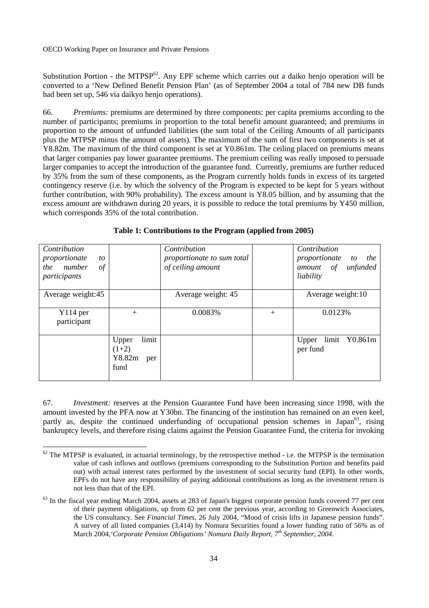$\overline{a}$ 

Substitution Portion - the MTPS $P^{62}$ . Any EPF scheme which carries out a daiko henjo operation will be converted to a 'New Defined Benefit Pension Plan' (as of September 2004 a total of 784 new DB funds had been set up, 546 via daikyo henjo operations).

66. *Premiums:* premiums are determined by three components: per capita premiums according to the number of participants; premiums in proportion to the total benefit amount guaranteed; and premiums in proportion to the amount of unfunded liabilities (the sum total of the Ceiling Amounts of all participants plus the MTPSP minus the amount of assets). The maximum of the sum of first two components is set at Y8.82m. The maximum of the third component is set at Y0.861m. The ceiling placed on premiums means that larger companies pay lower guarantee premiums. The premium ceiling was really imposed to persuade larger companies to accept the introduction of the guarantee fund. Currently, premiums are further reduced by 35% from the sum of these components, as the Program currently holds funds in excess of its targeted contingency reserve (i.e. by which the solvency of the Program is expected to be kept for 5 years without further contribution, with 90% probability). The excess amount is Y8.05 billion, and by assuming that the excess amount are withdrawn during 20 years, it is possible to reduce the total premiums by Y450 million, which corresponds 35% of the total contribution.

| Contribution<br>proportionate<br>to<br>the number<br>$\sigma f$<br>participants |                                                    | Contribution<br>proportionate to sum total<br>of ceiling amount |        | Contribution<br>the<br>proportionate<br>$\mathit{to}$<br>amount of unfunded<br>liability |  |
|---------------------------------------------------------------------------------|----------------------------------------------------|-----------------------------------------------------------------|--------|------------------------------------------------------------------------------------------|--|
| Average weight:45                                                               |                                                    | Average weight: 45                                              |        | Average weight:10                                                                        |  |
| $Y114$ per<br>participant                                                       | $+$                                                | 0.0083%                                                         | $^{+}$ | 0.0123%                                                                                  |  |
|                                                                                 | limit<br>Upper<br>$(1+2)$<br>Y8.82m<br>per<br>fund |                                                                 |        | limit Y0.861m<br>Upper<br>per fund                                                       |  |

**Table 1: Contributions to the Program (applied from 2005)** 

67. *Investment:* reserves at the Pension Guarantee Fund have been increasing since 1998, with the amount invested by the PFA now at Y30bn. The financing of the institution has remained on an even keel, partly as, despite the continued underfunding of occupational pension schemes in Japan<sup>63</sup>, rising bankruptcy levels, and therefore rising claims against the Pension Guarantee Fund, the criteria for invoking

 $62$  The MTPSP is evaluated, in actuarial terminology, by the retrospective method - i.e. the MTPSP is the termination value of cash inflows and outflows (premiums corresponding to the Substitution Portion and benefits paid out) with actual interest rates performed by the investment of social security fund (EPI). In other words, EPFs do not have any responsibility of paying additional contributions as long as the investment return is not less than that of the EPI.

 $63$  In the fiscal year ending March 2004, assets at 283 of Japan's biggest corporate pension funds covered 77 per cent of their payment obligations, up from 62 per cent the previous year, according to Greenwich Associates, the US consultancy. See *Financial Times*, 26 July 2004, "Mood of crisis lifts in Japanese pension funds". A survey of all listed companies (3,414) by Nomura Securities found a lower funding ratio of 56% as of March 2004,*'Corporate Pension Obligations' Nomura Daily Report, 7th September, 2004*.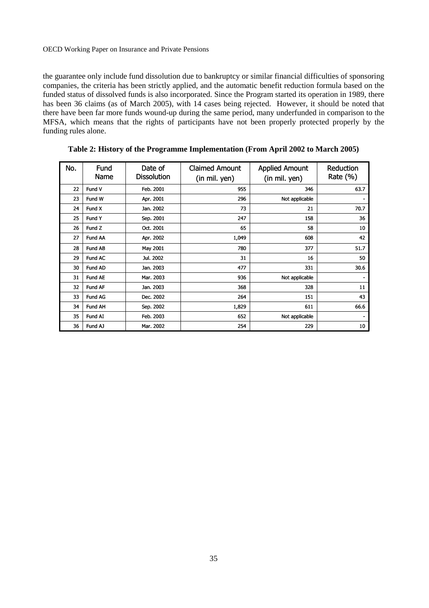the guarantee only include fund dissolution due to bankruptcy or similar financial difficulties of sponsoring companies, the criteria has been strictly applied, and the automatic benefit reduction formula based on the funded status of dissolved funds is also incorporated. Since the Program started its operation in 1989, there has been 36 claims (as of March 2005), with 14 cases being rejected. However, it should be noted that there have been far more funds wound-up during the same period, many underfunded in comparison to the MFSA, which means that the rights of participants have not been properly protected properly by the funding rules alone.

| No. | Fund<br>Name   | Date of<br><b>Dissolution</b> | <b>Claimed Amount</b><br>(in mil. yen) | <b>Applied Amount</b><br>(in mil. yen) | Reduction<br>Rate $(\% )$ |
|-----|----------------|-------------------------------|----------------------------------------|----------------------------------------|---------------------------|
| 22  | Fund V         | Feb. 2001                     | 955                                    | 346                                    | 63.7                      |
| 23  | Fund W         | Apr. 2001                     | 296                                    | Not applicable                         |                           |
| 24  | Fund X         | Jan. 2002                     | 73                                     | 21                                     | 70.7                      |
| 25  | Fund Y         | Sep. 2001                     | 247                                    | 158                                    | 36                        |
| 26  | Fund Z         | Oct. 2001                     | 65                                     | 58                                     | 10                        |
| 27  | Fund AA        | Apr. 2002                     | 1,049                                  | 608                                    | 42                        |
| 28  | Fund AB        | May 2001                      | 780                                    | 377                                    | 51.7                      |
| 29  | Fund AC        | Jul. 2002                     | 31                                     | 16                                     | 50                        |
| 30  | Fund AD        | Jan. 2003                     | 477                                    | 331                                    | 30.6                      |
| 31  | Fund AE        | Mar. 2003                     | 936                                    | Not applicable                         |                           |
| 32  | Fund AF        | Jan. 2003                     | 368                                    | 328                                    | 11                        |
| 33  | Fund AG        | Dec. 2002                     | 264                                    | 151                                    | 43                        |
| 34  | <b>Fund AH</b> | Sep. 2002                     | 1,829                                  | 611                                    | 66.6                      |
| 35  | Fund AI        | Feb. 2003                     | 652                                    | Not applicable                         |                           |
| 36  | Fund AJ        | Mar. 2002                     | 254                                    | 229                                    | 10                        |

**Table 2: History of the Programme Implementation (From April 2002 to March 2005)**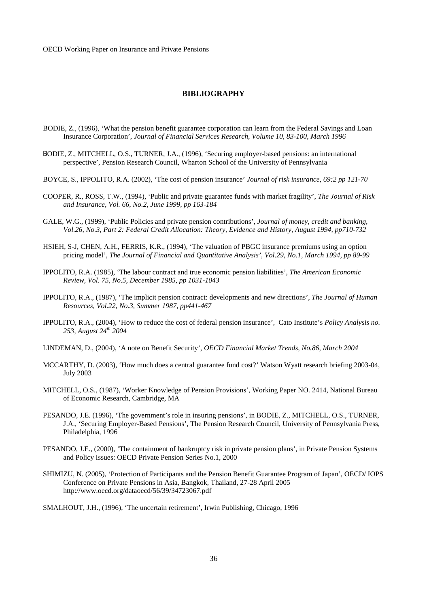## **BIBLIOGRAPHY**

- BODIE, Z., (1996), 'What the pension benefit guarantee corporation can learn from the Federal Savings and Loan Insurance Corporation', *Journal of Financial Services Research, Volume 10, 83-100, March 1996*
- BODIE, Z., MITCHELL, O.S., TURNER, J.A., (1996), 'Securing employer-based pensions: an international perspective', Pension Research Council, Wharton School of the University of Pennsylvania
- BOYCE, S., IPPOLITO, R.A. (2002), 'The cost of pension insurance' *Journal of risk insurance, 69:2 pp 121-70*
- COOPER, R., ROSS, T.W., (1994), 'Public and private guarantee funds with market fragility', *The Journal of Risk and Insurance, Vol. 66, No.2, June 1999, pp 163-184*
- GALE, W.G., (1999), 'Public Policies and private pension contributions', *Journal of money, credit and banking, Vol.26, No.3, Part 2: Federal Credit Allocation: Theory, Evidence and History, August 1994, pp710-732*
- HSIEH, S-J, CHEN, A.H., FERRIS, K.R., (1994), 'The valuation of PBGC insurance premiums using an option pricing model', *The Journal of Financial and Quantitative Analysis', Vol.29, No.1, March 1994, pp 89-99*
- IPPOLITO, R.A. (1985), 'The labour contract and true economic pension liabilities', *The American Economic Review, Vol. 75, No.5, December 1985, pp 1031-1043*
- IPPOLITO, R.A., (1987), 'The implicit pension contract: developments and new directions', *The Journal of Human Resources, Vol.22, No.3, Summer 1987, pp441-467*
- IPPOLITO, R.A., (2004), 'How to reduce the cost of federal pension insurance', Cato Institute's *Policy Analysis no. 253, August 24th 2004*
- LINDEMAN, D., (2004), 'A note on Benefit Security', *OECD Financial Market Trends, No.86, March 2004*
- MCCARTHY, D. (2003), 'How much does a central guarantee fund cost?' Watson Wyatt research briefing 2003-04, July 2003
- MITCHELL, O.S., (1987), 'Worker Knowledge of Pension Provisions', Working Paper NO. 2414, National Bureau of Economic Research, Cambridge, MA
- PESANDO, J.E. (1996), 'The government's role in insuring pensions', in BODIE, Z., MITCHELL, O.S., TURNER, J.A., 'Securing Employer-Based Pensions', The Pension Research Council, University of Pennsylvania Press, Philadelphia, 1996
- PESANDO, J.E., (2000), 'The containment of bankruptcy risk in private pension plans', in Private Pension Systems and Policy Issues: OECD Private Pension Series No.1, 2000
- SHIMIZU, N. (2005), 'Protection of Participants and the Pension Benefit Guarantee Program of Japan', OECD/ IOPS Conference on Private Pensions in Asia, Bangkok, Thailand, 27-28 April 2005 http://www.oecd.org/dataoecd/56/39/34723067.pdf

SMALHOUT, J.H., (1996), 'The uncertain retirement', Irwin Publishing, Chicago, 1996